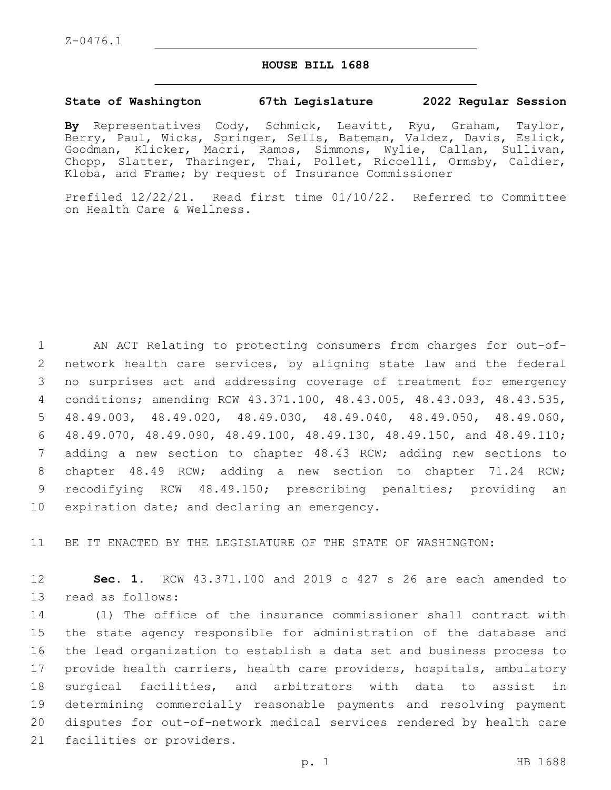Z-0476.1

## **HOUSE BILL 1688**

## **State of Washington 67th Legislature 2022 Regular Session**

**By** Representatives Cody, Schmick, Leavitt, Ryu, Graham, Taylor, Berry, Paul, Wicks, Springer, Sells, Bateman, Valdez, Davis, Eslick, Goodman, Klicker, Macri, Ramos, Simmons, Wylie, Callan, Sullivan, Chopp, Slatter, Tharinger, Thai, Pollet, Riccelli, Ormsby, Caldier, Kloba, and Frame; by request of Insurance Commissioner

Prefiled 12/22/21. Read first time 01/10/22. Referred to Committee on Health Care & Wellness.

 AN ACT Relating to protecting consumers from charges for out-of- network health care services, by aligning state law and the federal no surprises act and addressing coverage of treatment for emergency conditions; amending RCW 43.371.100, 48.43.005, 48.43.093, 48.43.535, 48.49.003, 48.49.020, 48.49.030, 48.49.040, 48.49.050, 48.49.060, 48.49.070, 48.49.090, 48.49.100, 48.49.130, 48.49.150, and 48.49.110; adding a new section to chapter 48.43 RCW; adding new sections to chapter 48.49 RCW; adding a new section to chapter 71.24 RCW; recodifying RCW 48.49.150; prescribing penalties; providing an 10 expiration date; and declaring an emergency.

11 BE IT ENACTED BY THE LEGISLATURE OF THE STATE OF WASHINGTON:

12 **Sec. 1.** RCW 43.371.100 and 2019 c 427 s 26 are each amended to 13 read as follows:

 (1) The office of the insurance commissioner shall contract with the state agency responsible for administration of the database and the lead organization to establish a data set and business process to provide health carriers, health care providers, hospitals, ambulatory surgical facilities, and arbitrators with data to assist in determining commercially reasonable payments and resolving payment disputes for out-of-network medical services rendered by health care 21 facilities or providers.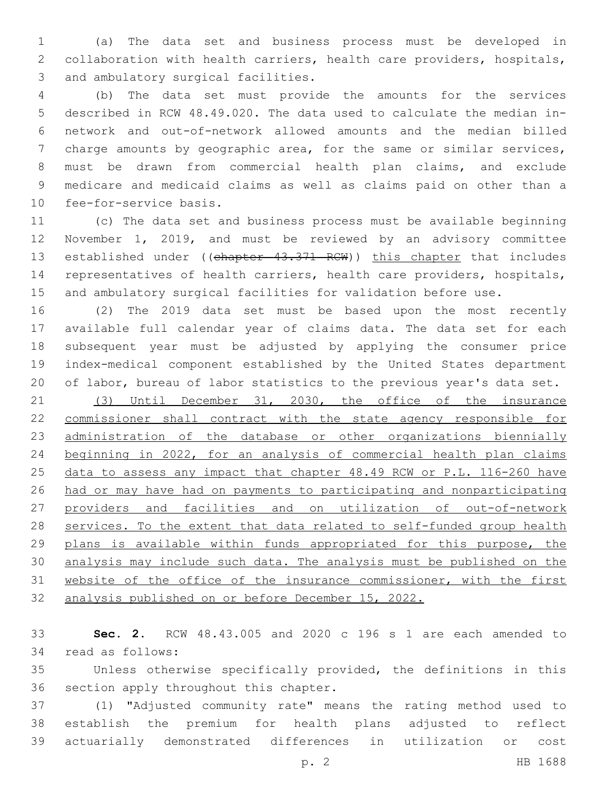(a) The data set and business process must be developed in collaboration with health carriers, health care providers, hospitals, 3 and ambulatory surgical facilities.

 (b) The data set must provide the amounts for the services described in RCW 48.49.020. The data used to calculate the median in- network and out-of-network allowed amounts and the median billed charge amounts by geographic area, for the same or similar services, must be drawn from commercial health plan claims, and exclude medicare and medicaid claims as well as claims paid on other than a 10 fee-for-service basis.

 (c) The data set and business process must be available beginning November 1, 2019, and must be reviewed by an advisory committee 13 established under ((chapter 43.371 RCW)) this chapter that includes representatives of health carriers, health care providers, hospitals, and ambulatory surgical facilities for validation before use.

 (2) The 2019 data set must be based upon the most recently available full calendar year of claims data. The data set for each subsequent year must be adjusted by applying the consumer price index-medical component established by the United States department of labor, bureau of labor statistics to the previous year's data set.

 (3) Until December 31, 2030, the office of the insurance commissioner shall contract with the state agency responsible for administration of the database or other organizations biennially beginning in 2022, for an analysis of commercial health plan claims data to assess any impact that chapter 48.49 RCW or P.L. 116-260 have had or may have had on payments to participating and nonparticipating providers and facilities and on utilization of out-of-network 28 services. To the extent that data related to self-funded group health 29 plans is available within funds appropriated for this purpose, the analysis may include such data. The analysis must be published on the website of the office of the insurance commissioner, with the first analysis published on or before December 15, 2022.

 **Sec. 2.** RCW 48.43.005 and 2020 c 196 s 1 are each amended to 34 read as follows:

 Unless otherwise specifically provided, the definitions in this 36 section apply throughout this chapter.

 (1) "Adjusted community rate" means the rating method used to establish the premium for health plans adjusted to reflect actuarially demonstrated differences in utilization or cost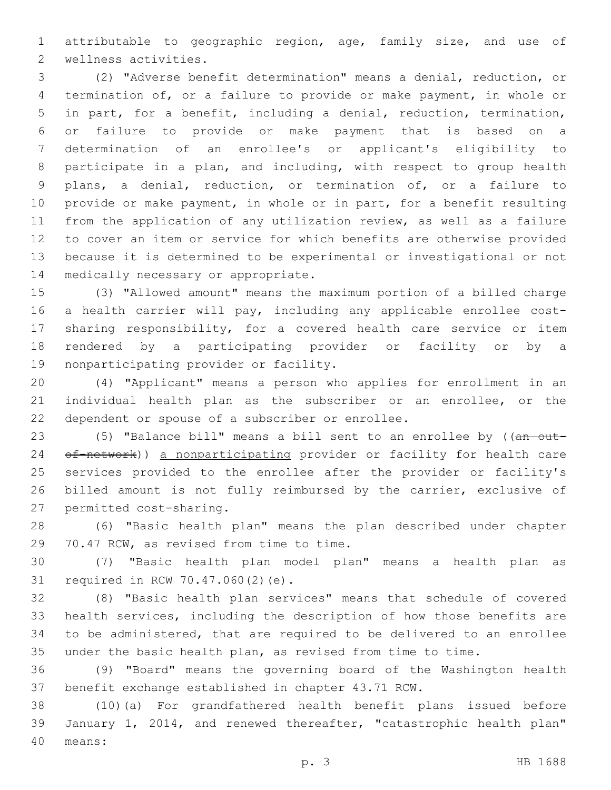attributable to geographic region, age, family size, and use of 2 wellness activities.

 (2) "Adverse benefit determination" means a denial, reduction, or termination of, or a failure to provide or make payment, in whole or in part, for a benefit, including a denial, reduction, termination, or failure to provide or make payment that is based on a determination of an enrollee's or applicant's eligibility to participate in a plan, and including, with respect to group health plans, a denial, reduction, or termination of, or a failure to provide or make payment, in whole or in part, for a benefit resulting from the application of any utilization review, as well as a failure to cover an item or service for which benefits are otherwise provided because it is determined to be experimental or investigational or not 14 medically necessary or appropriate.

 (3) "Allowed amount" means the maximum portion of a billed charge a health carrier will pay, including any applicable enrollee cost- sharing responsibility, for a covered health care service or item rendered by a participating provider or facility or by a 19 nonparticipating provider or facility.

 (4) "Applicant" means a person who applies for enrollment in an individual health plan as the subscriber or an enrollee, or the 22 dependent or spouse of a subscriber or enrollee.

23 (5) "Balance bill" means a bill sent to an enrollee by ((an out-24 of-network)) a nonparticipating provider or facility for health care services provided to the enrollee after the provider or facility's billed amount is not fully reimbursed by the carrier, exclusive of 27 permitted cost-sharing.

 (6) "Basic health plan" means the plan described under chapter 29 70.47 RCW, as revised from time to time.

 (7) "Basic health plan model plan" means a health plan as 31 required in RCW 70.47.060(2)(e).

 (8) "Basic health plan services" means that schedule of covered health services, including the description of how those benefits are to be administered, that are required to be delivered to an enrollee under the basic health plan, as revised from time to time.

 (9) "Board" means the governing board of the Washington health benefit exchange established in chapter 43.71 RCW.

 (10)(a) For grandfathered health benefit plans issued before January 1, 2014, and renewed thereafter, "catastrophic health plan" means:40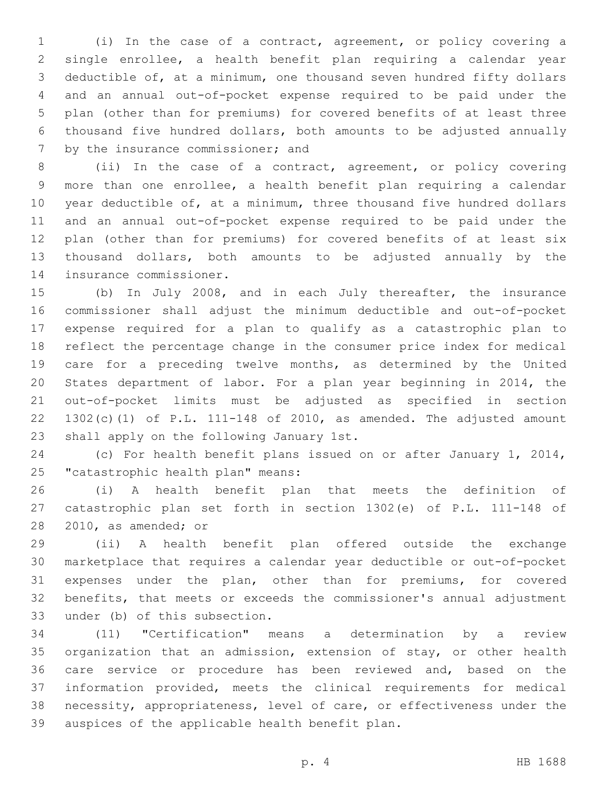(i) In the case of a contract, agreement, or policy covering a single enrollee, a health benefit plan requiring a calendar year deductible of, at a minimum, one thousand seven hundred fifty dollars and an annual out-of-pocket expense required to be paid under the plan (other than for premiums) for covered benefits of at least three thousand five hundred dollars, both amounts to be adjusted annually 7 by the insurance commissioner; and

 (ii) In the case of a contract, agreement, or policy covering more than one enrollee, a health benefit plan requiring a calendar year deductible of, at a minimum, three thousand five hundred dollars and an annual out-of-pocket expense required to be paid under the plan (other than for premiums) for covered benefits of at least six thousand dollars, both amounts to be adjusted annually by the 14 insurance commissioner.

 (b) In July 2008, and in each July thereafter, the insurance commissioner shall adjust the minimum deductible and out-of-pocket expense required for a plan to qualify as a catastrophic plan to reflect the percentage change in the consumer price index for medical care for a preceding twelve months, as determined by the United States department of labor. For a plan year beginning in 2014, the out-of-pocket limits must be adjusted as specified in section 22 1302(c)(1) of P.L. 111-148 of 2010, as amended. The adjusted amount 23 shall apply on the following January 1st.

 (c) For health benefit plans issued on or after January 1, 2014, 25 "catastrophic health plan" means:

 (i) A health benefit plan that meets the definition of catastrophic plan set forth in section 1302(e) of P.L. 111-148 of 28 2010, as amended; or

 (ii) A health benefit plan offered outside the exchange marketplace that requires a calendar year deductible or out-of-pocket expenses under the plan, other than for premiums, for covered benefits, that meets or exceeds the commissioner's annual adjustment 33 under (b) of this subsection.

 (11) "Certification" means a determination by a review organization that an admission, extension of stay, or other health care service or procedure has been reviewed and, based on the information provided, meets the clinical requirements for medical necessity, appropriateness, level of care, or effectiveness under the 39 auspices of the applicable health benefit plan.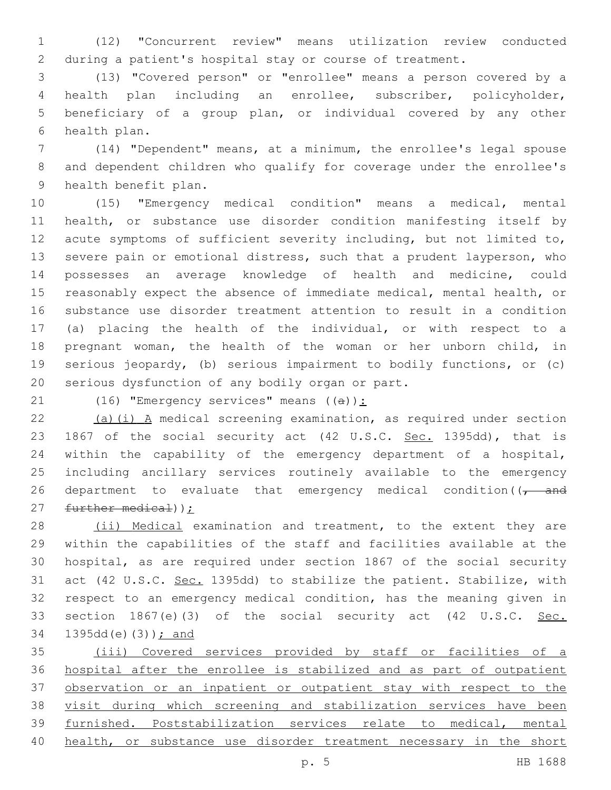(12) "Concurrent review" means utilization review conducted during a patient's hospital stay or course of treatment.

 (13) "Covered person" or "enrollee" means a person covered by a health plan including an enrollee, subscriber, policyholder, beneficiary of a group plan, or individual covered by any other 6 health plan.

 (14) "Dependent" means, at a minimum, the enrollee's legal spouse and dependent children who qualify for coverage under the enrollee's 9 health benefit plan.

 (15) "Emergency medical condition" means a medical, mental health, or substance use disorder condition manifesting itself by acute symptoms of sufficient severity including, but not limited to, severe pain or emotional distress, such that a prudent layperson, who possesses an average knowledge of health and medicine, could reasonably expect the absence of immediate medical, mental health, or substance use disorder treatment attention to result in a condition (a) placing the health of the individual, or with respect to a pregnant woman, the health of the woman or her unborn child, in serious jeopardy, (b) serious impairment to bodily functions, or (c) 20 serious dysfunction of any bodily organ or part.

21 (16) "Emergency services" means  $((a))$ :

22  $(a)(i)$  A medical screening examination, as required under section 23 1867 of the social security act (42 U.S.C. Sec. 1395dd), that is within the capability of the emergency department of a hospital, including ancillary services routinely available to the emergency 26 department to evaluate that emergency medical condition( $\sqrt{1 - a}$ 27 further medical));

28 (ii) Medical examination and treatment, to the extent they are within the capabilities of the staff and facilities available at the hospital, as are required under section 1867 of the social security 31 act (42 U.S.C. Sec. 1395dd) to stabilize the patient. Stabilize, with respect to an emergency medical condition, has the meaning given in 33 section 1867(e)(3) of the social security act (42 U.S.C. Sec. 34 1395dd(e)(3)) ; and

 (iii) Covered services provided by staff or facilities of a hospital after the enrollee is stabilized and as part of outpatient observation or an inpatient or outpatient stay with respect to the visit during which screening and stabilization services have been furnished. Poststabilization services relate to medical, mental 40 health, or substance use disorder treatment necessary in the short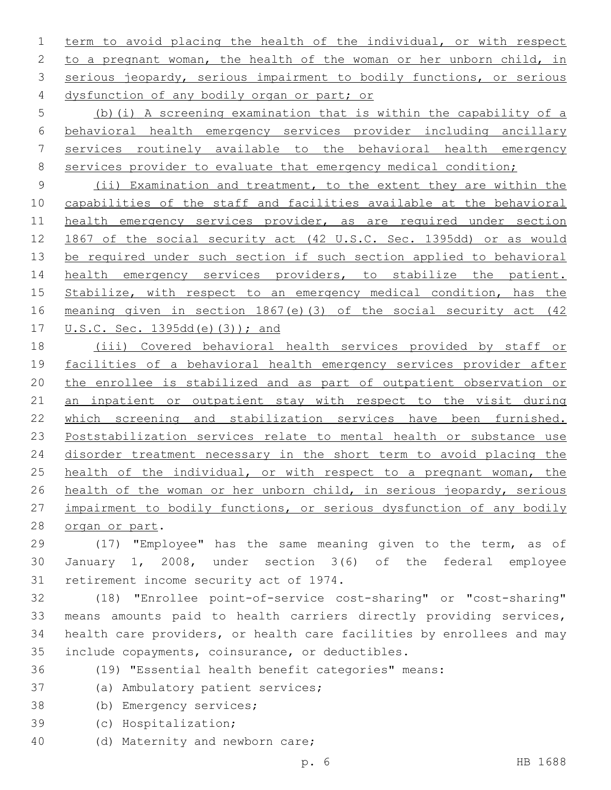term to avoid placing the health of the individual, or with respect 2 to a pregnant woman, the health of the woman or her unborn child, in 3 serious jeopardy, serious impairment to bodily functions, or serious 4 dysfunction of any bodily organ or part; or

 (b)(i) A screening examination that is within the capability of a behavioral health emergency services provider including ancillary services routinely available to the behavioral health emergency 8 services provider to evaluate that emergency medical condition;

 (ii) Examination and treatment, to the extent they are within the capabilities of the staff and facilities available at the behavioral health emergency services provider, as are required under section 1867 of the social security act (42 U.S.C. Sec. 1395dd) or as would be required under such section if such section applied to behavioral health emergency services providers, to stabilize the patient. Stabilize, with respect to an emergency medical condition, has the meaning given in section 1867(e)(3) of the social security act (42 U.S.C. Sec. 1395dd(e)(3)); and

 (iii) Covered behavioral health services provided by staff or facilities of a behavioral health emergency services provider after the enrollee is stabilized and as part of outpatient observation or 21 an inpatient or outpatient stay with respect to the visit during which screening and stabilization services have been furnished. Poststabilization services relate to mental health or substance use 24 disorder treatment necessary in the short term to avoid placing the 25 health of the individual, or with respect to a pregnant woman, the health of the woman or her unborn child, in serious jeopardy, serious impairment to bodily functions, or serious dysfunction of any bodily 28 organ or part.

 (17) "Employee" has the same meaning given to the term, as of January 1, 2008, under section 3(6) of the federal employee 31 retirement income security act of 1974.

 (18) "Enrollee point-of-service cost-sharing" or "cost-sharing" means amounts paid to health carriers directly providing services, health care providers, or health care facilities by enrollees and may 35 include copayments, coinsurance, or deductibles.

(19) "Essential health benefit categories" means:

- 37 (a) Ambulatory patient services;
- 38 (b) Emergency services;
- (c) Hospitalization;39
- 40 (d) Maternity and newborn care;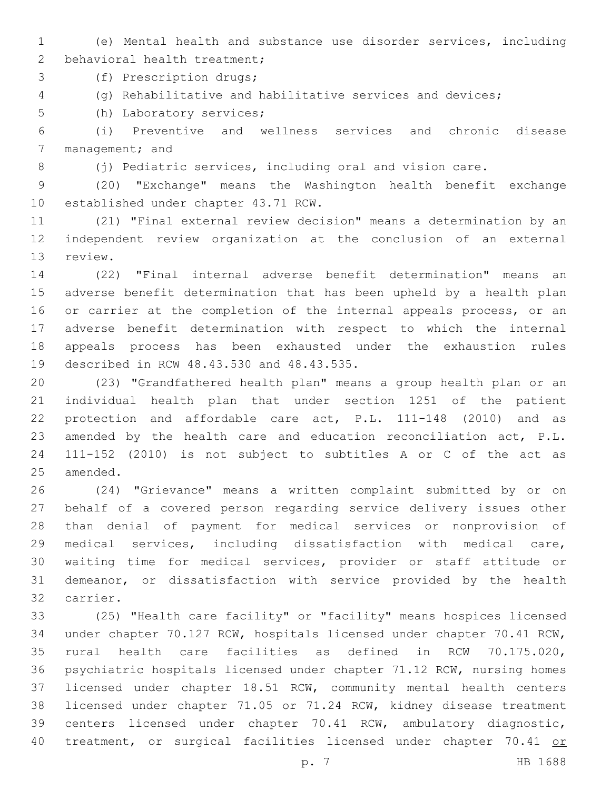(e) Mental health and substance use disorder services, including 2 behavioral health treatment;

3 (f) Prescription drugs;

(g) Rehabilitative and habilitative services and devices;

5 (h) Laboratory services;

 (i) Preventive and wellness services and chronic disease 7 management; and

8 (j) Pediatric services, including oral and vision care.

 (20) "Exchange" means the Washington health benefit exchange 10 established under chapter 43.71 RCW.

 (21) "Final external review decision" means a determination by an independent review organization at the conclusion of an external 13 review.

 (22) "Final internal adverse benefit determination" means an adverse benefit determination that has been upheld by a health plan 16 or carrier at the completion of the internal appeals process, or an adverse benefit determination with respect to which the internal appeals process has been exhausted under the exhaustion rules 19 described in RCW 48.43.530 and 48.43.535.

 (23) "Grandfathered health plan" means a group health plan or an individual health plan that under section 1251 of the patient protection and affordable care act, P.L. 111-148 (2010) and as amended by the health care and education reconciliation act, P.L. 111-152 (2010) is not subject to subtitles A or C of the act as 25 amended.

 (24) "Grievance" means a written complaint submitted by or on behalf of a covered person regarding service delivery issues other than denial of payment for medical services or nonprovision of medical services, including dissatisfaction with medical care, waiting time for medical services, provider or staff attitude or demeanor, or dissatisfaction with service provided by the health 32 carrier.

 (25) "Health care facility" or "facility" means hospices licensed under chapter 70.127 RCW, hospitals licensed under chapter 70.41 RCW, rural health care facilities as defined in RCW 70.175.020, psychiatric hospitals licensed under chapter 71.12 RCW, nursing homes licensed under chapter 18.51 RCW, community mental health centers licensed under chapter 71.05 or 71.24 RCW, kidney disease treatment centers licensed under chapter 70.41 RCW, ambulatory diagnostic, 40 treatment, or surgical facilities licensed under chapter 70.41 or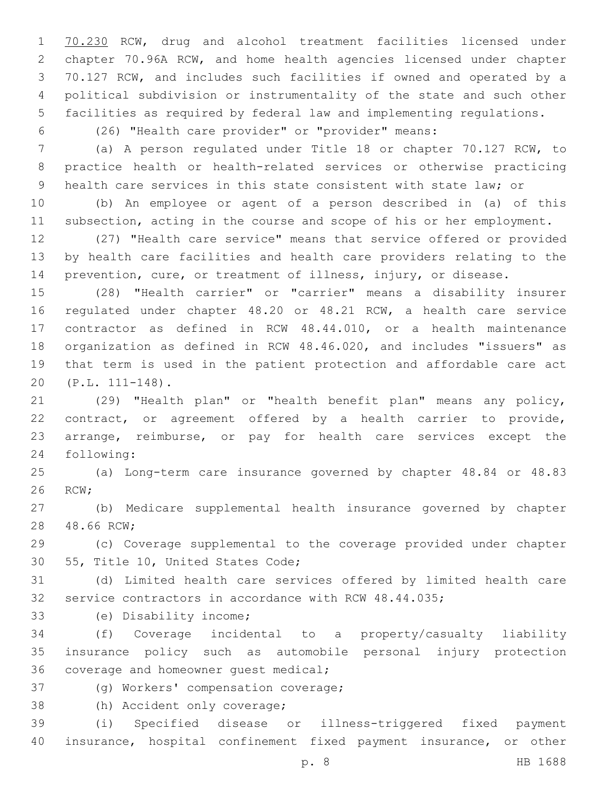70.230 RCW, drug and alcohol treatment facilities licensed under chapter 70.96A RCW, and home health agencies licensed under chapter 70.127 RCW, and includes such facilities if owned and operated by a political subdivision or instrumentality of the state and such other facilities as required by federal law and implementing regulations.

(26) "Health care provider" or "provider" means:

 (a) A person regulated under Title 18 or chapter 70.127 RCW, to practice health or health-related services or otherwise practicing health care services in this state consistent with state law; or

 (b) An employee or agent of a person described in (a) of this subsection, acting in the course and scope of his or her employment.

 (27) "Health care service" means that service offered or provided by health care facilities and health care providers relating to the prevention, cure, or treatment of illness, injury, or disease.

 (28) "Health carrier" or "carrier" means a disability insurer regulated under chapter 48.20 or 48.21 RCW, a health care service contractor as defined in RCW 48.44.010, or a health maintenance organization as defined in RCW 48.46.020, and includes "issuers" as that term is used in the patient protection and affordable care act (P.L. 111-148).20

 (29) "Health plan" or "health benefit plan" means any policy, contract, or agreement offered by a health carrier to provide, arrange, reimburse, or pay for health care services except the 24 following:

 (a) Long-term care insurance governed by chapter 48.84 or 48.83 26 RCW;

 (b) Medicare supplemental health insurance governed by chapter 28 48.66 RCW;

 (c) Coverage supplemental to the coverage provided under chapter 30 55, Title 10, United States Code;

 (d) Limited health care services offered by limited health care service contractors in accordance with RCW 48.44.035;

33 (e) Disability income;

 (f) Coverage incidental to a property/casualty liability insurance policy such as automobile personal injury protection 36 coverage and homeowner quest medical;

- 37 (g) Workers' compensation coverage;
- 38 (h) Accident only coverage;

 (i) Specified disease or illness-triggered fixed payment insurance, hospital confinement fixed payment insurance, or other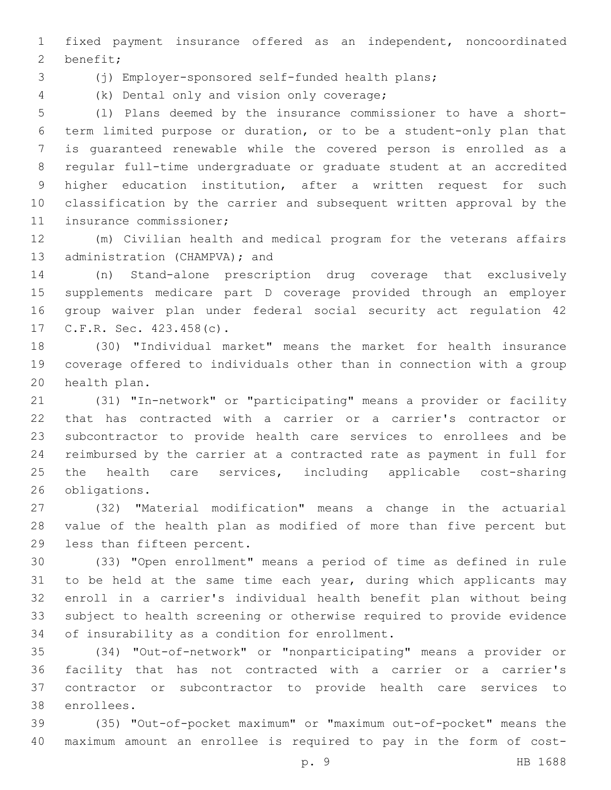fixed payment insurance offered as an independent, noncoordinated 2 benefit;

(j) Employer-sponsored self-funded health plans;

(k) Dental only and vision only coverage;4

 (l) Plans deemed by the insurance commissioner to have a short- term limited purpose or duration, or to be a student-only plan that is guaranteed renewable while the covered person is enrolled as a regular full-time undergraduate or graduate student at an accredited higher education institution, after a written request for such classification by the carrier and subsequent written approval by the 11 insurance commissioner;

 (m) Civilian health and medical program for the veterans affairs 13 administration (CHAMPVA); and

 (n) Stand-alone prescription drug coverage that exclusively supplements medicare part D coverage provided through an employer group waiver plan under federal social security act regulation 42 17 C.F.R. Sec. 423.458(c).

 (30) "Individual market" means the market for health insurance coverage offered to individuals other than in connection with a group 20 health plan.

 (31) "In-network" or "participating" means a provider or facility that has contracted with a carrier or a carrier's contractor or subcontractor to provide health care services to enrollees and be reimbursed by the carrier at a contracted rate as payment in full for 25 the health care services, including applicable cost-sharing 26 obligations.

 (32) "Material modification" means a change in the actuarial value of the health plan as modified of more than five percent but 29 less than fifteen percent.

 (33) "Open enrollment" means a period of time as defined in rule 31 to be held at the same time each year, during which applicants may enroll in a carrier's individual health benefit plan without being subject to health screening or otherwise required to provide evidence 34 of insurability as a condition for enrollment.

 (34) "Out-of-network" or "nonparticipating" means a provider or facility that has not contracted with a carrier or a carrier's contractor or subcontractor to provide health care services to 38 enrollees.

 (35) "Out-of-pocket maximum" or "maximum out-of-pocket" means the maximum amount an enrollee is required to pay in the form of cost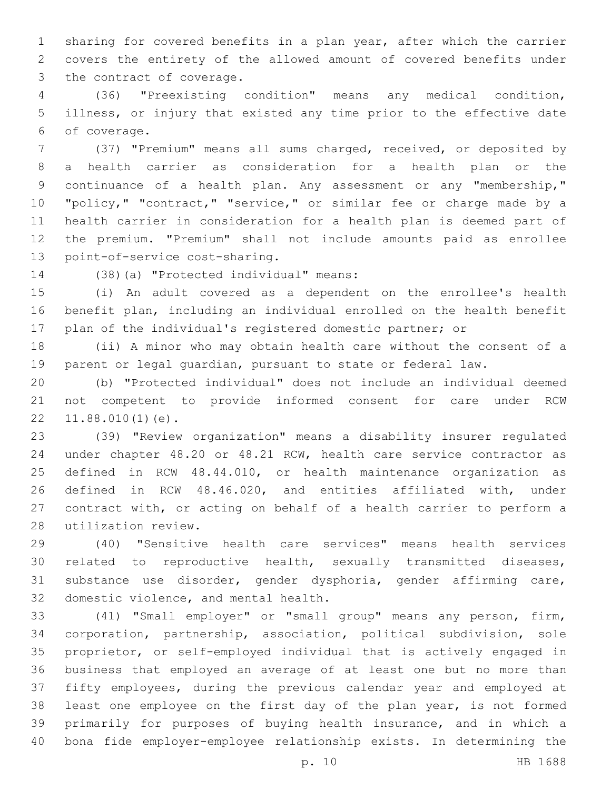sharing for covered benefits in a plan year, after which the carrier covers the entirety of the allowed amount of covered benefits under 3 the contract of coverage.

 (36) "Preexisting condition" means any medical condition, illness, or injury that existed any time prior to the effective date of coverage.6

 (37) "Premium" means all sums charged, received, or deposited by a health carrier as consideration for a health plan or the continuance of a health plan. Any assessment or any "membership," "policy," "contract," "service," or similar fee or charge made by a health carrier in consideration for a health plan is deemed part of the premium. "Premium" shall not include amounts paid as enrollee 13 point-of-service cost-sharing.

14 (38)(a) "Protected individual" means:

 (i) An adult covered as a dependent on the enrollee's health benefit plan, including an individual enrolled on the health benefit plan of the individual's registered domestic partner; or

 (ii) A minor who may obtain health care without the consent of a parent or legal guardian, pursuant to state or federal law.

 (b) "Protected individual" does not include an individual deemed not competent to provide informed consent for care under RCW  $22 \quad 11.88.010(1)(e)$ .

 (39) "Review organization" means a disability insurer regulated under chapter 48.20 or 48.21 RCW, health care service contractor as defined in RCW 48.44.010, or health maintenance organization as defined in RCW 48.46.020, and entities affiliated with, under contract with, or acting on behalf of a health carrier to perform a 28 utilization review.

 (40) "Sensitive health care services" means health services related to reproductive health, sexually transmitted diseases, substance use disorder, gender dysphoria, gender affirming care, 32 domestic violence, and mental health.

 (41) "Small employer" or "small group" means any person, firm, corporation, partnership, association, political subdivision, sole proprietor, or self-employed individual that is actively engaged in business that employed an average of at least one but no more than fifty employees, during the previous calendar year and employed at least one employee on the first day of the plan year, is not formed primarily for purposes of buying health insurance, and in which a bona fide employer-employee relationship exists. In determining the

p. 10 HB 1688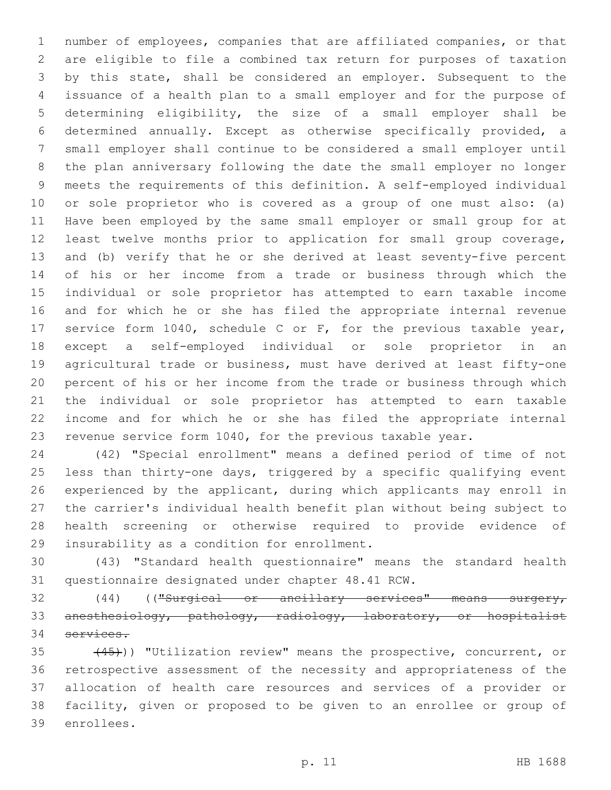number of employees, companies that are affiliated companies, or that are eligible to file a combined tax return for purposes of taxation by this state, shall be considered an employer. Subsequent to the issuance of a health plan to a small employer and for the purpose of determining eligibility, the size of a small employer shall be determined annually. Except as otherwise specifically provided, a small employer shall continue to be considered a small employer until the plan anniversary following the date the small employer no longer meets the requirements of this definition. A self-employed individual or sole proprietor who is covered as a group of one must also: (a) Have been employed by the same small employer or small group for at least twelve months prior to application for small group coverage, and (b) verify that he or she derived at least seventy-five percent of his or her income from a trade or business through which the individual or sole proprietor has attempted to earn taxable income and for which he or she has filed the appropriate internal revenue service form 1040, schedule C or F, for the previous taxable year, except a self-employed individual or sole proprietor in an agricultural trade or business, must have derived at least fifty-one percent of his or her income from the trade or business through which the individual or sole proprietor has attempted to earn taxable income and for which he or she has filed the appropriate internal revenue service form 1040, for the previous taxable year.

 (42) "Special enrollment" means a defined period of time of not less than thirty-one days, triggered by a specific qualifying event experienced by the applicant, during which applicants may enroll in the carrier's individual health benefit plan without being subject to health screening or otherwise required to provide evidence of 29 insurability as a condition for enrollment.

 (43) "Standard health questionnaire" means the standard health 31 questionnaire designated under chapter 48.41 RCW.

 (44) (("Surgical or ancillary services" means surgery, anesthesiology, pathology, radiology, laboratory, or hospitalist services.

35 (45))) "Utilization review" means the prospective, concurrent, or retrospective assessment of the necessity and appropriateness of the allocation of health care resources and services of a provider or facility, given or proposed to be given to an enrollee or group of 39 enrollees.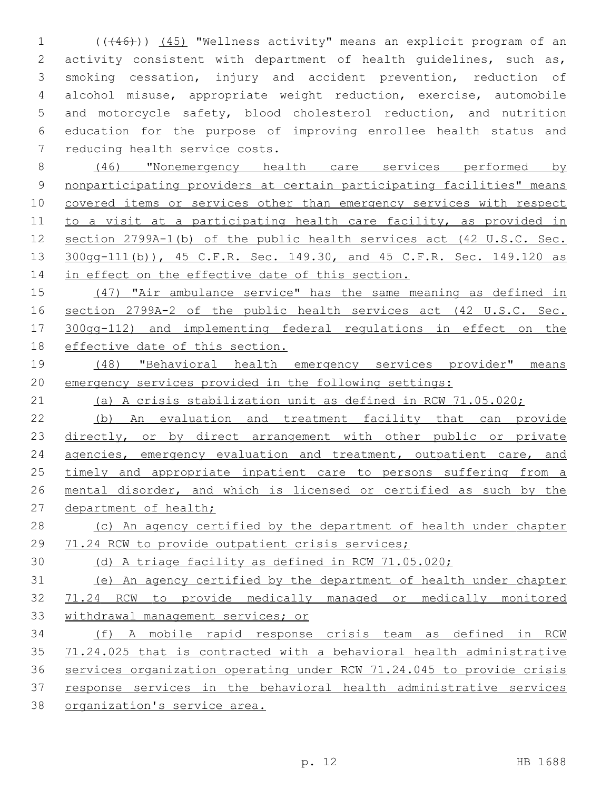(((46))) (45) "Wellness activity" means an explicit program of an activity consistent with department of health guidelines, such as, smoking cessation, injury and accident prevention, reduction of alcohol misuse, appropriate weight reduction, exercise, automobile and motorcycle safety, blood cholesterol reduction, and nutrition education for the purpose of improving enrollee health status and 7 reducing health service costs.

 (46) "Nonemergency health care services performed by nonparticipating providers at certain participating facilities" means 10 covered items or services other than emergency services with respect to a visit at a participating health care facility, as provided in section 2799A-1(b) of the public health services act (42 U.S.C. Sec. 300gg-111(b)), 45 C.F.R. Sec. 149.30, and 45 C.F.R. Sec. 149.120 as 14 in effect on the effective date of this section.

 (47) "Air ambulance service" has the same meaning as defined in section 2799A-2 of the public health services act (42 U.S.C. Sec. 300gg-112) and implementing federal regulations in effect on the effective date of this section.

 (48) "Behavioral health emergency services provider" means emergency services provided in the following settings:

(a) A crisis stabilization unit as defined in RCW 71.05.020;

 (b) An evaluation and treatment facility that can provide 23 directly, or by direct arrangement with other public or private 24 agencies, emergency evaluation and treatment, outpatient care, and 25 timely and appropriate inpatient care to persons suffering from a mental disorder, and which is licensed or certified as such by the 27 department of health;

28 (c) An agency certified by the department of health under chapter 29 71.24 RCW to provide outpatient crisis services;

(d) A triage facility as defined in RCW 71.05.020;

 (e) An agency certified by the department of health under chapter 71.24 RCW to provide medically managed or medically monitored withdrawal management services; or

 (f) A mobile rapid response crisis team as defined in RCW 71.24.025 that is contracted with a behavioral health administrative services organization operating under RCW 71.24.045 to provide crisis response services in the behavioral health administrative services organization's service area.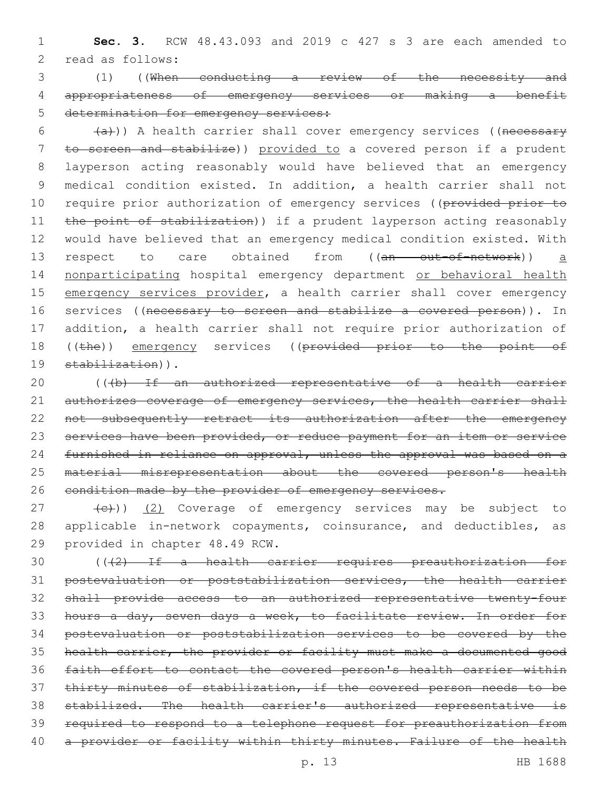1 **Sec. 3.** RCW 48.43.093 and 2019 c 427 s 3 are each amended to 2 read as follows:

3 (1) ((When conducting a review of the necessity and 4 appropriateness of emergency services or making a benefit 5 determination for emergency services:

 $(4a)$ )) A health carrier shall cover emergency services ((necessary 7 to screen and stabilize)) provided to a covered person if a prudent 8 layperson acting reasonably would have believed that an emergency 9 medical condition existed. In addition, a health carrier shall not 10 require prior authorization of emergency services ((provided prior to 11 the point of stabilization)) if a prudent layperson acting reasonably 12 would have believed that an emergency medical condition existed. With 13 respect to care obtained from ((an out-of-network)) a 14 nonparticipating hospital emergency department or behavioral health 15 emergency services provider, a health carrier shall cover emergency 16 services ((necessary to screen and stabilize a covered person)). In 17 addition, a health carrier shall not require prior authorization of 18 ((the)) emergency services ((provided prior to the point of 19 stabilization)).

20 (((b) If an authorized representative of a health carrier 21 authorizes coverage of emergency services, the health carrier shall 22 not subsequently retract its authorization after the emergency 23 services have been provided, or reduce payment for an item or service 24 furnished in reliance on approval, unless the approval was based on a 25 material misrepresentation about the covered person's health 26 eondition made by the provider of emergency services.

27 (e)) (2) Coverage of emergency services may be subject to 28 applicable in-network copayments, coinsurance, and deductibles, as 29 provided in chapter 48.49 RCW.

 (((2) If a health carrier requires preauthorization for postevaluation or poststabilization services, the health carrier shall provide access to an authorized representative twenty-four hours a day, seven days a week, to facilitate review. In order for postevaluation or poststabilization services to be covered by the health carrier, the provider or facility must make a documented good faith effort to contact the covered person's health carrier within thirty minutes of stabilization, if the covered person needs to be stabilized. The health carrier's authorized representative is required to respond to a telephone request for preauthorization from 40 a provider or facility within thirty minutes. Failure of the health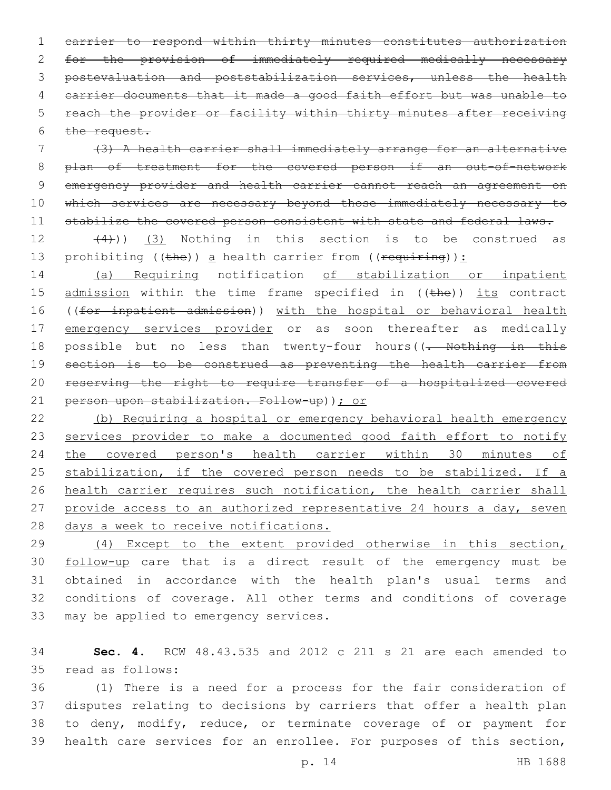carrier to respond within thirty minutes constitutes authorization for the provision of immediately required medically necessary postevaluation and poststabilization services, unless the health carrier documents that it made a good faith effort but was unable to reach the provider or facility within thirty minutes after receiving  $the$  request.

7 (3) A health carrier shall immediately arrange for an alternative 8 plan of treatment for the covered person if an out-of-network 9 emergency provider and health carrier cannot reach an agreement on 10 which services are necessary beyond those immediately necessary to 11 stabilize the covered person consistent with state and federal laws.

 $(4)$ ))  $(3)$  Nothing in this section is to be construed as 13 prohibiting ((the)) a health carrier from ((requiring)):

14 (a) Requiring notification of stabilization or inpatient 15 admission within the time frame specified in ((the)) its contract 16 ((for inpatient admission)) with the hospital or behavioral health 17 emergency services provider or as soon thereafter as medically 18 possible but no less than twenty-four hours((<del>. Nothing in this</del> 19 section is to be construed as preventing the health carrier from 20 reserving the right to require transfer of a hospitalized covered 21 person upon stabilization. Follow-up)); or

22 (b) Requiring a hospital or emergency behavioral health emergency 23 services provider to make a documented good faith effort to notify 24 the covered person's health carrier within 30 minutes of 25 stabilization, if the covered person needs to be stabilized. If a 26 health carrier requires such notification, the health carrier shall 27 provide access to an authorized representative 24 hours a day, seven 28 days a week to receive notifications.

 (4) Except to the extent provided otherwise in this section, follow-up care that is a direct result of the emergency must be obtained in accordance with the health plan's usual terms and conditions of coverage. All other terms and conditions of coverage 33 may be applied to emergency services.

34 **Sec. 4.** RCW 48.43.535 and 2012 c 211 s 21 are each amended to read as follows:35

 (1) There is a need for a process for the fair consideration of disputes relating to decisions by carriers that offer a health plan to deny, modify, reduce, or terminate coverage of or payment for health care services for an enrollee. For purposes of this section,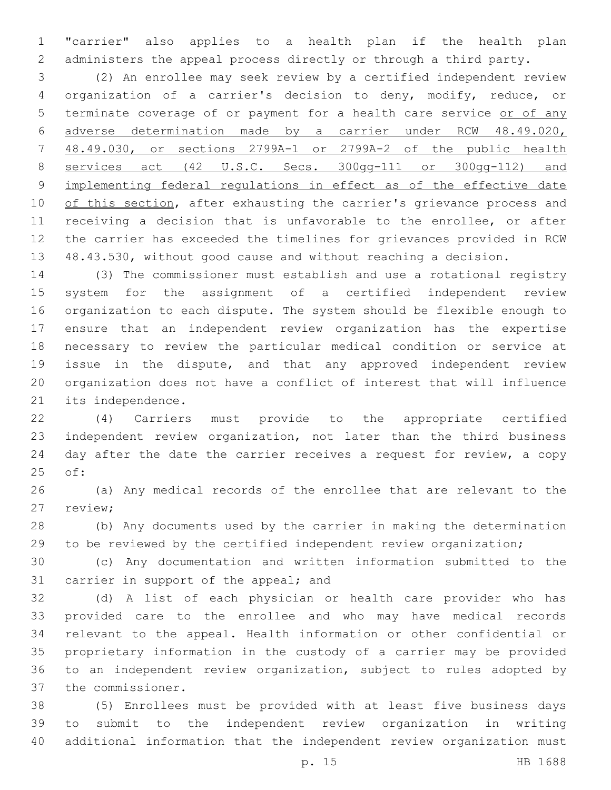"carrier" also applies to a health plan if the health plan administers the appeal process directly or through a third party.

 (2) An enrollee may seek review by a certified independent review organization of a carrier's decision to deny, modify, reduce, or 5 terminate coverage of or payment for a health care service or of any adverse determination made by a carrier under RCW 48.49.020, 48.49.030, or sections 2799A-1 or 2799A-2 of the public health services act (42 U.S.C. Secs. 300gg-111 or 300gg-112) and implementing federal regulations in effect as of the effective date 10 of this section, after exhausting the carrier's grievance process and receiving a decision that is unfavorable to the enrollee, or after the carrier has exceeded the timelines for grievances provided in RCW 48.43.530, without good cause and without reaching a decision.

 (3) The commissioner must establish and use a rotational registry system for the assignment of a certified independent review organization to each dispute. The system should be flexible enough to ensure that an independent review organization has the expertise necessary to review the particular medical condition or service at issue in the dispute, and that any approved independent review organization does not have a conflict of interest that will influence 21 its independence.

 (4) Carriers must provide to the appropriate certified independent review organization, not later than the third business day after the date the carrier receives a request for review, a copy 25 of:

 (a) Any medical records of the enrollee that are relevant to the 27 review;

 (b) Any documents used by the carrier in making the determination to be reviewed by the certified independent review organization;

 (c) Any documentation and written information submitted to the 31 carrier in support of the appeal; and

 (d) A list of each physician or health care provider who has provided care to the enrollee and who may have medical records relevant to the appeal. Health information or other confidential or proprietary information in the custody of a carrier may be provided to an independent review organization, subject to rules adopted by 37 the commissioner.

 (5) Enrollees must be provided with at least five business days to submit to the independent review organization in writing additional information that the independent review organization must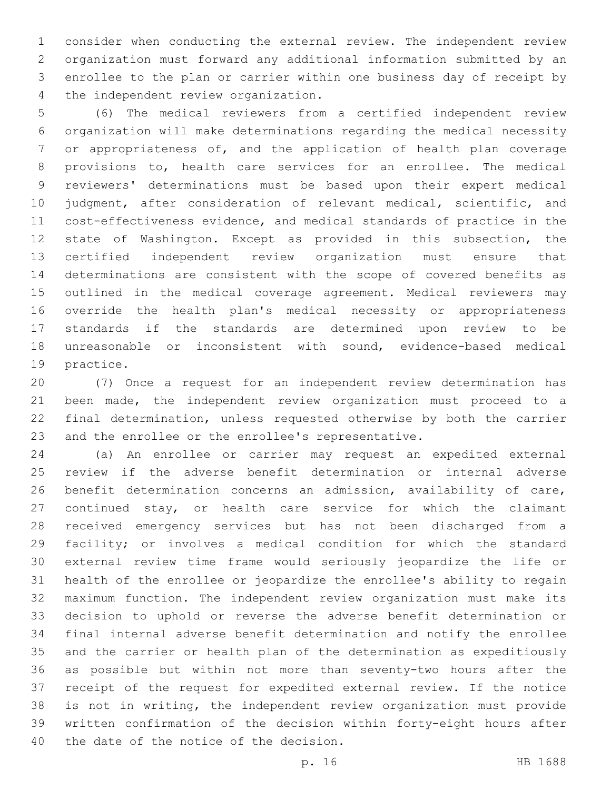consider when conducting the external review. The independent review organization must forward any additional information submitted by an enrollee to the plan or carrier within one business day of receipt by 4 the independent review organization.

 (6) The medical reviewers from a certified independent review organization will make determinations regarding the medical necessity or appropriateness of, and the application of health plan coverage provisions to, health care services for an enrollee. The medical reviewers' determinations must be based upon their expert medical judgment, after consideration of relevant medical, scientific, and cost-effectiveness evidence, and medical standards of practice in the state of Washington. Except as provided in this subsection, the certified independent review organization must ensure that determinations are consistent with the scope of covered benefits as outlined in the medical coverage agreement. Medical reviewers may override the health plan's medical necessity or appropriateness standards if the standards are determined upon review to be unreasonable or inconsistent with sound, evidence-based medical 19 practice.

 (7) Once a request for an independent review determination has been made, the independent review organization must proceed to a final determination, unless requested otherwise by both the carrier and the enrollee or the enrollee's representative.

 (a) An enrollee or carrier may request an expedited external review if the adverse benefit determination or internal adverse benefit determination concerns an admission, availability of care, continued stay, or health care service for which the claimant received emergency services but has not been discharged from a facility; or involves a medical condition for which the standard external review time frame would seriously jeopardize the life or health of the enrollee or jeopardize the enrollee's ability to regain maximum function. The independent review organization must make its decision to uphold or reverse the adverse benefit determination or final internal adverse benefit determination and notify the enrollee and the carrier or health plan of the determination as expeditiously as possible but within not more than seventy-two hours after the receipt of the request for expedited external review. If the notice is not in writing, the independent review organization must provide written confirmation of the decision within forty-eight hours after 40 the date of the notice of the decision.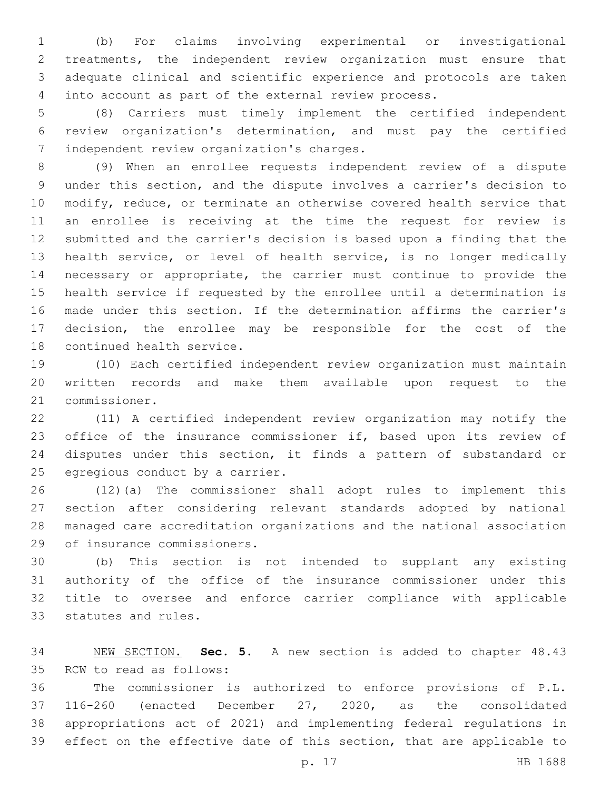(b) For claims involving experimental or investigational treatments, the independent review organization must ensure that adequate clinical and scientific experience and protocols are taken into account as part of the external review process.

 (8) Carriers must timely implement the certified independent review organization's determination, and must pay the certified 7 independent review organization's charges.

 (9) When an enrollee requests independent review of a dispute under this section, and the dispute involves a carrier's decision to modify, reduce, or terminate an otherwise covered health service that an enrollee is receiving at the time the request for review is submitted and the carrier's decision is based upon a finding that the health service, or level of health service, is no longer medically necessary or appropriate, the carrier must continue to provide the health service if requested by the enrollee until a determination is made under this section. If the determination affirms the carrier's decision, the enrollee may be responsible for the cost of the 18 continued health service.

 (10) Each certified independent review organization must maintain written records and make them available upon request to the 21 commissioner.

 (11) A certified independent review organization may notify the 23 office of the insurance commissioner if, based upon its review of disputes under this section, it finds a pattern of substandard or 25 egregious conduct by a carrier.

 (12)(a) The commissioner shall adopt rules to implement this section after considering relevant standards adopted by national managed care accreditation organizations and the national association 29 of insurance commissioners.

 (b) This section is not intended to supplant any existing authority of the office of the insurance commissioner under this title to oversee and enforce carrier compliance with applicable 33 statutes and rules.

 NEW SECTION. **Sec. 5.** A new section is added to chapter 48.43 35 RCW to read as follows:

 The commissioner is authorized to enforce provisions of P.L. 116-260 (enacted December 27, 2020, as the consolidated appropriations act of 2021) and implementing federal regulations in effect on the effective date of this section, that are applicable to

p. 17 HB 1688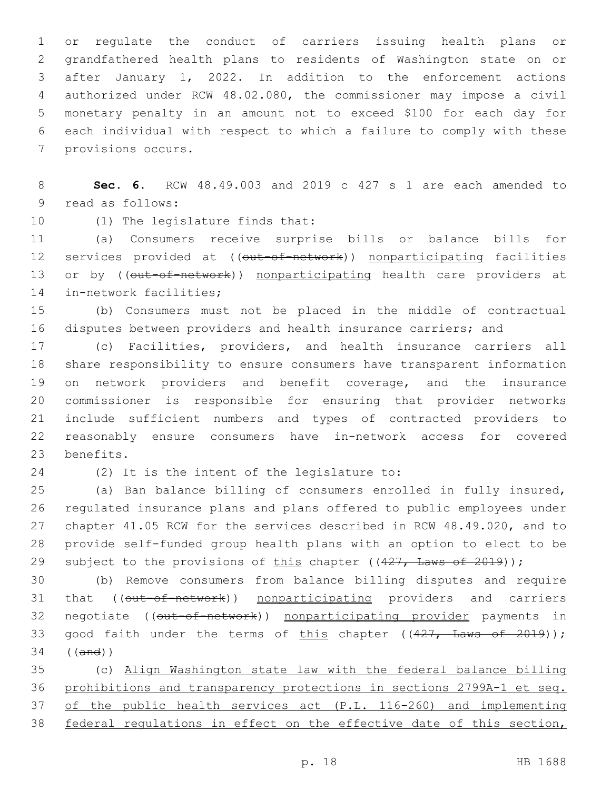or regulate the conduct of carriers issuing health plans or grandfathered health plans to residents of Washington state on or after January 1, 2022. In addition to the enforcement actions authorized under RCW 48.02.080, the commissioner may impose a civil monetary penalty in an amount not to exceed \$100 for each day for each individual with respect to which a failure to comply with these 7 provisions occurs.

 **Sec. 6.** RCW 48.49.003 and 2019 c 427 s 1 are each amended to 9 read as follows:

10 (1) The legislature finds that:

 (a) Consumers receive surprise bills or balance bills for 12 services provided at ((out-of-network)) nonparticipating facilities 13 or by ((out-of-network)) nonparticipating health care providers at 14 in-network facilities;

 (b) Consumers must not be placed in the middle of contractual disputes between providers and health insurance carriers; and

 (c) Facilities, providers, and health insurance carriers all share responsibility to ensure consumers have transparent information on network providers and benefit coverage, and the insurance commissioner is responsible for ensuring that provider networks include sufficient numbers and types of contracted providers to reasonably ensure consumers have in-network access for covered 23 benefits.

24 (2) It is the intent of the legislature to:

 (a) Ban balance billing of consumers enrolled in fully insured, regulated insurance plans and plans offered to public employees under chapter 41.05 RCW for the services described in RCW 48.49.020, and to provide self-funded group health plans with an option to elect to be 29 subject to the provisions of this chapter ((427, Laws of 2019));

 (b) Remove consumers from balance billing disputes and require 31 that ((out-of-network)) nonparticipating providers and carriers 32 negotiate ((out-of-network)) nonparticipating provider payments in 33 good faith under the terms of this chapter  $((427, \text{ Laws of } 2019));$ ((and))

 (c) Align Washington state law with the federal balance billing prohibitions and transparency protections in sections 2799A-1 et seq. of the public health services act (P.L. 116-260) and implementing federal regulations in effect on the effective date of this section,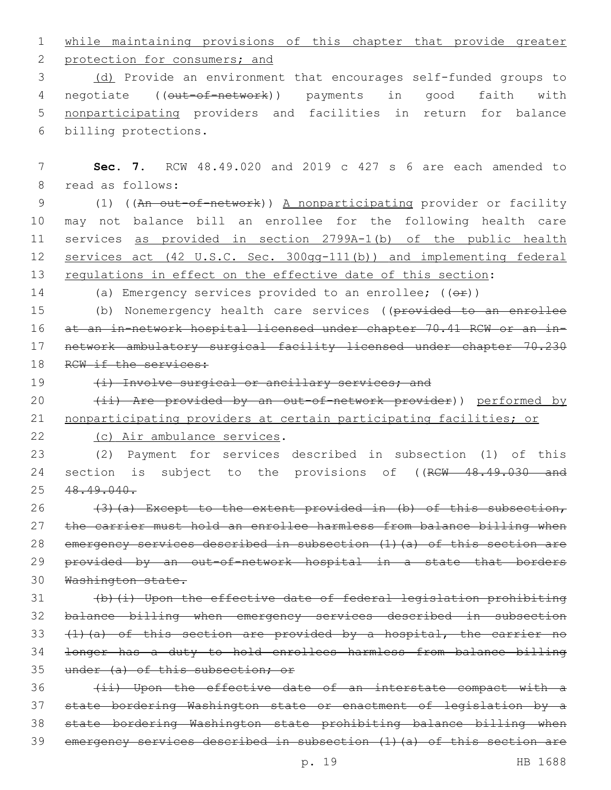1 while maintaining provisions of this chapter that provide greater

2 protection for consumers; and

3 (d) Provide an environment that encourages self-funded groups to 4 negotiate ((out-of-network)) payments in good faith with 5 nonparticipating providers and facilities in return for balance 6 billing protections.

7 **Sec. 7.** RCW 48.49.020 and 2019 c 427 s 6 are each amended to 8 read as follows: 9 (1) ((An out-of-network)) A nonparticipating provider or facility 10 may not balance bill an enrollee for the following health care 11 services as provided in section 2799A-1(b) of the public health 12 services act (42 U.S.C. Sec. 300gg-111(b)) and implementing federal 13 regulations in effect on the effective date of this section: 14 (a) Emergency services provided to an enrollee;  $((\theta \cdot \hat{r}))$ 15 (b) Nonemergency health care services ((provided to an enrollee 16 at an in-network hospital licensed under chapter 70.41 RCW or an in-17 network ambulatory surgical facility licensed under chapter 70.230 18 RCW if the services: 19 (i) Involve surgical or ancillary services; and 20 (ii) Are provided by an out-of-network provider)) performed by 21 nonparticipating providers at certain participating facilities; or 22 (c) Air ambulance services. 23 (2) Payment for services described in subsection (1) of this 24 section is subject to the provisions of ((RCW 48.49.030 and 25 48.49.040.

 $(3)$  (a) Except to the extent provided in (b) of this subsection, the carrier must hold an enrollee harmless from balance billing when emergency services described in subsection (1)(a) of this section are 29 provided by an out-of-network hospital in a state that borders Washington state.

 (b)(i) Upon the effective date of federal legislation prohibiting balance billing when emergency services described in subsection  $(1)$   $(a)$  of this section are provided by a hospital, the carrier no longer has a duty to hold enrollees harmless from balance billing 35 under (a) of this subsection; or

36 (ii) Upon the effective date of an interstate compact with a state bordering Washington state or enactment of legislation by a state bordering Washington state prohibiting balance billing when emergency services described in subsection (1)(a) of this section are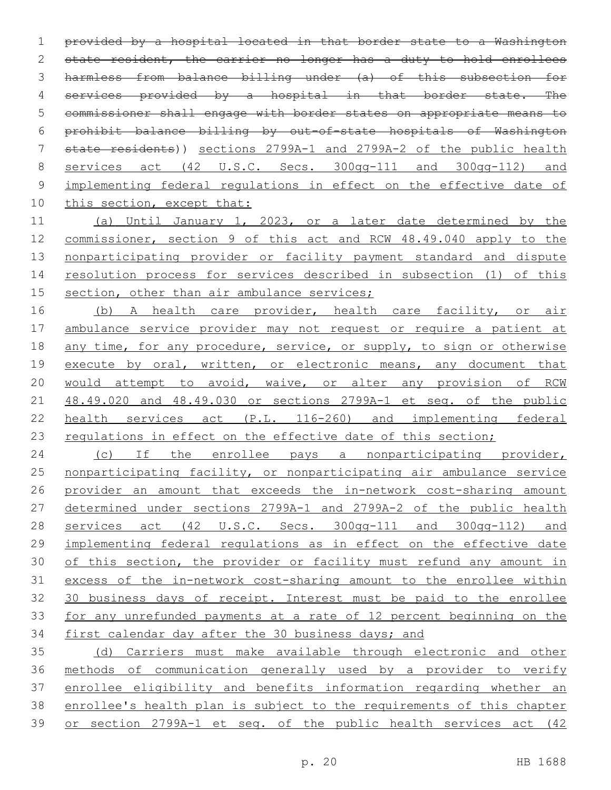provided by a hospital located in that border state to a Washington 2 state resident, the carrier no longer has a duty to hold enrollees harmless from balance billing under (a) of this subsection for 4 services provided by a hospital in that border state. The commissioner shall engage with border states on appropriate means to prohibit balance billing by out-of-state hospitals of Washington state residents)) sections 2799A-1 and 2799A-2 of the public health services act (42 U.S.C. Secs. 300gg-111 and 300gg-112) and implementing federal regulations in effect on the effective date of 10 this section, except that:

 (a) Until January 1, 2023, or a later date determined by the commissioner, section 9 of this act and RCW 48.49.040 apply to the nonparticipating provider or facility payment standard and dispute resolution process for services described in subsection (1) of this 15 section, other than air ambulance services;

16 (b) A health care provider, health care facility, or air ambulance service provider may not request or require a patient at 18 any time, for any procedure, service, or supply, to sign or otherwise 19 execute by oral, written, or electronic means, any document that would attempt to avoid, waive, or alter any provision of RCW 48.49.020 and 48.49.030 or sections 2799A-1 et seq. of the public health services act (P.L. 116-260) and implementing federal 23 regulations in effect on the effective date of this section;

24 (c) If the enrollee pays a nonparticipating provider, nonparticipating facility, or nonparticipating air ambulance service provider an amount that exceeds the in-network cost-sharing amount determined under sections 2799A-1 and 2799A-2 of the public health services act (42 U.S.C. Secs. 300gg-111 and 300gg-112) and implementing federal regulations as in effect on the effective date of this section, the provider or facility must refund any amount in excess of the in-network cost-sharing amount to the enrollee within 30 business days of receipt. Interest must be paid to the enrollee for any unrefunded payments at a rate of 12 percent beginning on the first calendar day after the 30 business days; and

 (d) Carriers must make available through electronic and other methods of communication generally used by a provider to verify enrollee eligibility and benefits information regarding whether an enrollee's health plan is subject to the requirements of this chapter or section 2799A-1 et seq. of the public health services act (42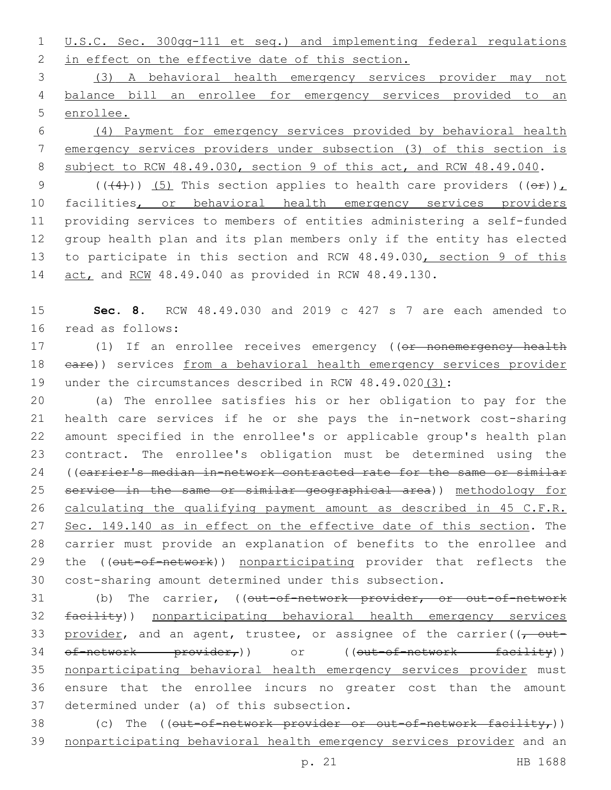1 U.S.C. Sec. 300gg-111 et seq.) and implementing federal regulations 2 in effect on the effective date of this section.

3 (3) A behavioral health emergency services provider may not 4 balance bill an enrollee for emergency services provided to an 5 enrollee.

6 (4) Payment for emergency services provided by behavioral health 7 emergency services providers under subsection (3) of this section is 8 subject to RCW 48.49.030, section 9 of this act, and RCW 48.49.040.

9 (( $(4)$ )) (5) This section applies to health care providers ( $(e^E)$ ), 10 facilities, or behavioral health emergency services providers 11 providing services to members of entities administering a self-funded 12 group health plan and its plan members only if the entity has elected 13 to participate in this section and RCW 48.49.030, section 9 of this 14 act, and RCW 48.49.040 as provided in RCW 48.49.130.

15 **Sec. 8.** RCW 48.49.030 and 2019 c 427 s 7 are each amended to 16 read as follows:

17 (1) If an enrollee receives emergency ((or nonemergency health 18 eare)) services from a behavioral health emergency services provider 19 under the circumstances described in RCW 48.49.020(3):

 (a) The enrollee satisfies his or her obligation to pay for the health care services if he or she pays the in-network cost-sharing amount specified in the enrollee's or applicable group's health plan contract. The enrollee's obligation must be determined using the 24 ((carrier's median in-network contracted rate for the same or similar service in the same or similar geographical area)) methodology for calculating the qualifying payment amount as described in 45 C.F.R. 27 Sec. 149.140 as in effect on the effective date of this section. The carrier must provide an explanation of benefits to the enrollee and 29 the ((out-of-network)) nonparticipating provider that reflects the cost-sharing amount determined under this subsection.

31 (b) The carrier, ((out-of-network provider, or out-of-network 32 facility)) nonparticipating behavioral health emergency services 33 provider, and an agent, trustee, or assignee of the carrier( $\sqrt{\tau}$  out-34 of-network provider,) or ((out-of-network facility)) 35 nonparticipating behavioral health emergency services provider must 36 ensure that the enrollee incurs no greater cost than the amount 37 determined under (a) of this subsection.

38 (c) The  $((\text{out-of-network-provider or out-of-network factor}))$ 39 nonparticipating behavioral health emergency services provider and an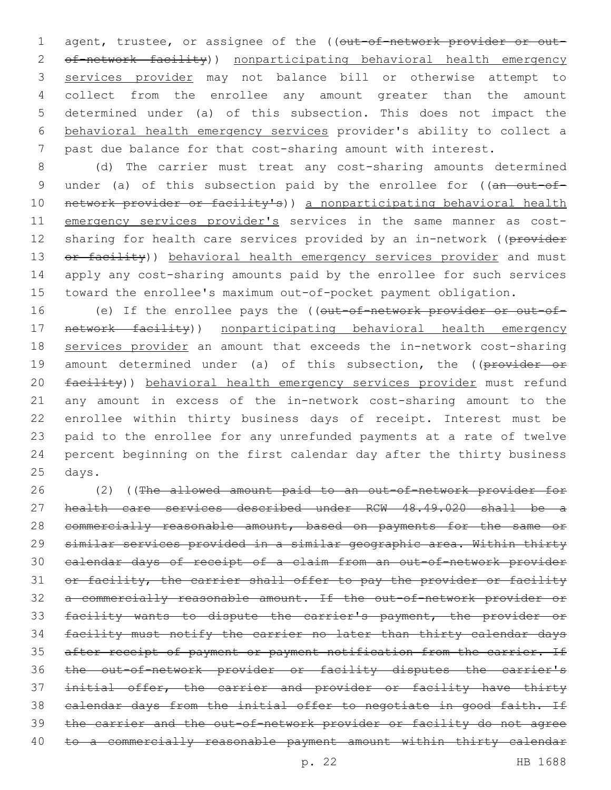1 agent, trustee, or assignee of the ((out-of-network provider or out-2 of-network facility)) nonparticipating behavioral health emergency services provider may not balance bill or otherwise attempt to collect from the enrollee any amount greater than the amount determined under (a) of this subsection. This does not impact the behavioral health emergency services provider's ability to collect a past due balance for that cost-sharing amount with interest.

8 (d) The carrier must treat any cost-sharing amounts determined 9 under (a) of this subsection paid by the enrollee for ((an out-of-10 network provider or facility's)) a nonparticipating behavioral health 11 emergency services provider's services in the same manner as cost-12 sharing for health care services provided by an in-network ((provider 13 or facility)) behavioral health emergency services provider and must 14 apply any cost-sharing amounts paid by the enrollee for such services 15 toward the enrollee's maximum out-of-pocket payment obligation.

16 (e) If the enrollee pays the ((out-of-network provider or out-of-17 network facility)) nonparticipating behavioral health emergency 18 services provider an amount that exceeds the in-network cost-sharing 19 amount determined under (a) of this subsection, the ((provider or 20 facility)) behavioral health emergency services provider must refund 21 any amount in excess of the in-network cost-sharing amount to the 22 enrollee within thirty business days of receipt. Interest must be 23 paid to the enrollee for any unrefunded payments at a rate of twelve 24 percent beginning on the first calendar day after the thirty business 25 days.

 (2) ((The allowed amount paid to an out-of-network provider for health care services described under RCW 48.49.020 shall be a 28 commercially reasonable amount, based on payments for the same or similar services provided in a similar geographic area. Within thirty calendar days of receipt of a claim from an out-of-network provider 31 or facility, the carrier shall offer to pay the provider or facility a commercially reasonable amount. If the out-of-network provider or facility wants to dispute the carrier's payment, the provider or facility must notify the carrier no later than thirty calendar days 35 after receipt of payment or payment notification from the carrier. If the out-of-network provider or facility disputes the carrier's 37 initial offer, the carrier and provider or facility have thirty calendar days from the initial offer to negotiate in good faith. If the carrier and the out-of-network provider or facility do not agree 40 to a commercially reasonable payment amount within thirty calendar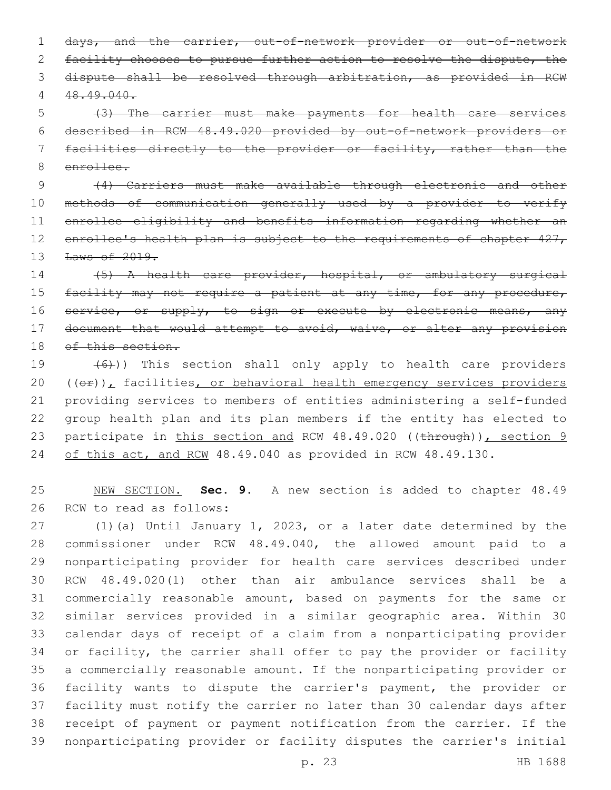days, and the carrier, out-of-network provider or out-of-network 2 facility chooses to pursue further action to resolve the dispute, the dispute shall be resolved through arbitration, as provided in RCW 48.49.040.

 (3) The carrier must make payments for health care services described in RCW 48.49.020 provided by out-of-network providers or facilities directly to the provider or facility, rather than the enrollee.

 (4) Carriers must make available through electronic and other methods of communication generally used by a provider to verify enrollee eligibility and benefits information regarding whether an 12 enrollee's health plan is subject to the requirements of chapter 427, **Laws of 2019.** 

 (5) A health care provider, hospital, or ambulatory surgical 15 facility may not require a patient at any time, for any procedure, 16 service, or supply, to sign or execute by electronic means, any 17 document that would attempt to avoid, waive, or alter any provision 18 of this section.

 $(6)$ )) This section shall only apply to health care providers  $((\theta \oplus))_L$  facilities, or behavioral health emergency services providers providing services to members of entities administering a self-funded group health plan and its plan members if the entity has elected to 23 participate in this section and RCW 48.49.020 ((through)), section 9 24 of this act, and RCW 48.49.040 as provided in RCW 48.49.130.

 NEW SECTION. **Sec. 9.** A new section is added to chapter 48.49 26 RCW to read as follows:

 (1)(a) Until January 1, 2023, or a later date determined by the commissioner under RCW 48.49.040, the allowed amount paid to a nonparticipating provider for health care services described under RCW 48.49.020(1) other than air ambulance services shall be a commercially reasonable amount, based on payments for the same or similar services provided in a similar geographic area. Within 30 calendar days of receipt of a claim from a nonparticipating provider or facility, the carrier shall offer to pay the provider or facility a commercially reasonable amount. If the nonparticipating provider or facility wants to dispute the carrier's payment, the provider or facility must notify the carrier no later than 30 calendar days after receipt of payment or payment notification from the carrier. If the nonparticipating provider or facility disputes the carrier's initial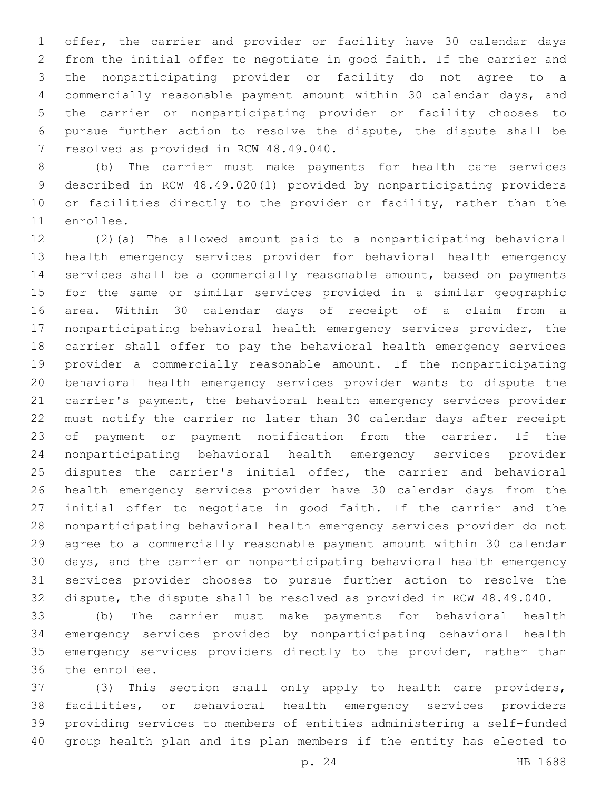offer, the carrier and provider or facility have 30 calendar days from the initial offer to negotiate in good faith. If the carrier and the nonparticipating provider or facility do not agree to a commercially reasonable payment amount within 30 calendar days, and the carrier or nonparticipating provider or facility chooses to pursue further action to resolve the dispute, the dispute shall be 7 resolved as provided in RCW 48.49.040.

 (b) The carrier must make payments for health care services described in RCW 48.49.020(1) provided by nonparticipating providers 10 or facilities directly to the provider or facility, rather than the 11 enrollee.

 (2)(a) The allowed amount paid to a nonparticipating behavioral health emergency services provider for behavioral health emergency services shall be a commercially reasonable amount, based on payments for the same or similar services provided in a similar geographic area. Within 30 calendar days of receipt of a claim from a nonparticipating behavioral health emergency services provider, the carrier shall offer to pay the behavioral health emergency services provider a commercially reasonable amount. If the nonparticipating behavioral health emergency services provider wants to dispute the carrier's payment, the behavioral health emergency services provider must notify the carrier no later than 30 calendar days after receipt of payment or payment notification from the carrier. If the nonparticipating behavioral health emergency services provider disputes the carrier's initial offer, the carrier and behavioral health emergency services provider have 30 calendar days from the initial offer to negotiate in good faith. If the carrier and the nonparticipating behavioral health emergency services provider do not agree to a commercially reasonable payment amount within 30 calendar days, and the carrier or nonparticipating behavioral health emergency services provider chooses to pursue further action to resolve the dispute, the dispute shall be resolved as provided in RCW 48.49.040.

 (b) The carrier must make payments for behavioral health emergency services provided by nonparticipating behavioral health 35 emergency services providers directly to the provider, rather than 36 the enrollee.

 (3) This section shall only apply to health care providers, facilities, or behavioral health emergency services providers providing services to members of entities administering a self-funded group health plan and its plan members if the entity has elected to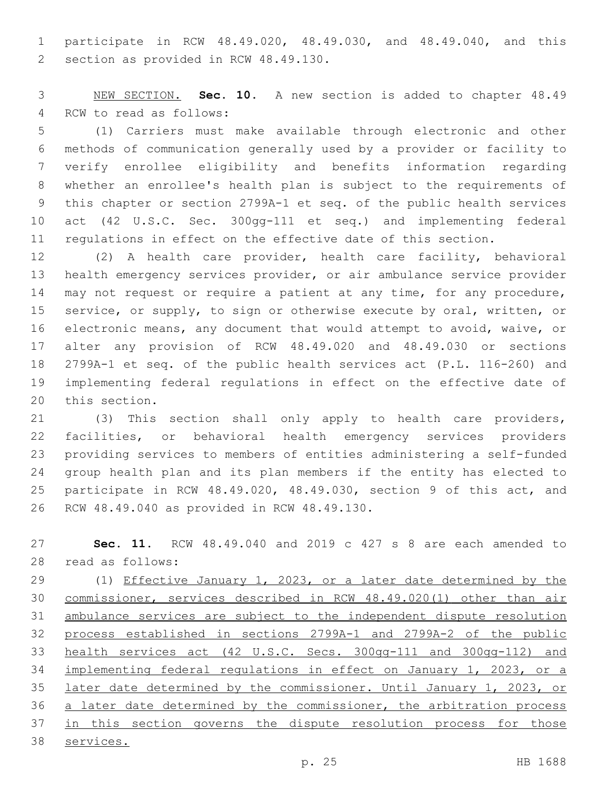participate in RCW 48.49.020, 48.49.030, and 48.49.040, and this 2 section as provided in RCW 48.49.130.

 NEW SECTION. **Sec. 10.** A new section is added to chapter 48.49 4 RCW to read as follows:

 (1) Carriers must make available through electronic and other methods of communication generally used by a provider or facility to verify enrollee eligibility and benefits information regarding whether an enrollee's health plan is subject to the requirements of this chapter or section 2799A-1 et seq. of the public health services act (42 U.S.C. Sec. 300gg-111 et seq.) and implementing federal regulations in effect on the effective date of this section.

 (2) A health care provider, health care facility, behavioral health emergency services provider, or air ambulance service provider 14 may not request or require a patient at any time, for any procedure, service, or supply, to sign or otherwise execute by oral, written, or electronic means, any document that would attempt to avoid, waive, or alter any provision of RCW 48.49.020 and 48.49.030 or sections 2799A-1 et seq. of the public health services act (P.L. 116-260) and implementing federal regulations in effect on the effective date of 20 this section.

 (3) This section shall only apply to health care providers, facilities, or behavioral health emergency services providers providing services to members of entities administering a self-funded group health plan and its plan members if the entity has elected to participate in RCW 48.49.020, 48.49.030, section 9 of this act, and 26 RCW 48.49.040 as provided in RCW 48.49.130.

 **Sec. 11.** RCW 48.49.040 and 2019 c 427 s 8 are each amended to 28 read as follows:

 (1) Effective January 1, 2023, or a later date determined by the commissioner, services described in RCW 48.49.020(1) other than air ambulance services are subject to the independent dispute resolution process established in sections 2799A-1 and 2799A-2 of the public health services act (42 U.S.C. Secs. 300gg-111 and 300gg-112) and implementing federal regulations in effect on January 1, 2023, or a later date determined by the commissioner. Until January 1, 2023, or a later date determined by the commissioner, the arbitration process 37 in this section governs the dispute resolution process for those services.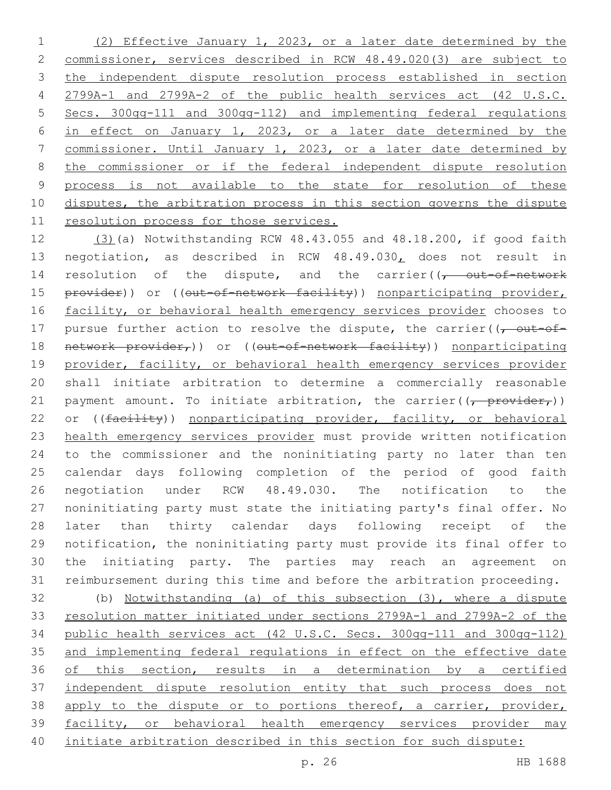(2) Effective January 1, 2023, or a later date determined by the commissioner, services described in RCW 48.49.020(3) are subject to the independent dispute resolution process established in section 2799A-1 and 2799A-2 of the public health services act (42 U.S.C. Secs. 300gg-111 and 300gg-112) and implementing federal regulations in effect on January 1, 2023, or a later date determined by the commissioner. Until January 1, 2023, or a later date determined by the commissioner or if the federal independent dispute resolution process is not available to the state for resolution of these 10 disputes, the arbitration process in this section governs the dispute resolution process for those services.

 (3)(a) Notwithstanding RCW 48.43.055 and 48.18.200, if good faith negotiation, as described in RCW 48.49.030, does not result in 14 resolution of the dispute, and the carrier( $\sqrt{t}$  out-of-network 15 provider)) or ((out-of-network facility)) nonparticipating provider, 16 facility, or behavioral health emergency services provider chooses to 17 pursue further action to resolve the dispute, the carrier( $\sqrt{\overline{C}}$ 18 network provider,)) or ((out-of-network facility)) nonparticipating provider, facility, or behavioral health emergency services provider shall initiate arbitration to determine a commercially reasonable 21 payment amount. To initiate arbitration, the carrier( $\frac{1}{(r - \text{provider}_T)}$ ) 22 or ((facility)) nonparticipating provider, facility, or behavioral health emergency services provider must provide written notification to the commissioner and the noninitiating party no later than ten calendar days following completion of the period of good faith negotiation under RCW 48.49.030. The notification to the noninitiating party must state the initiating party's final offer. No later than thirty calendar days following receipt of the notification, the noninitiating party must provide its final offer to the initiating party. The parties may reach an agreement on reimbursement during this time and before the arbitration proceeding.

 (b) Notwithstanding (a) of this subsection (3), where a dispute resolution matter initiated under sections 2799A-1 and 2799A-2 of the public health services act (42 U.S.C. Secs. 300gg-111 and 300gg-112) and implementing federal regulations in effect on the effective date of this section, results in a determination by a certified independent dispute resolution entity that such process does not 38 apply to the dispute or to portions thereof, a carrier, provider, facility, or behavioral health emergency services provider may initiate arbitration described in this section for such dispute: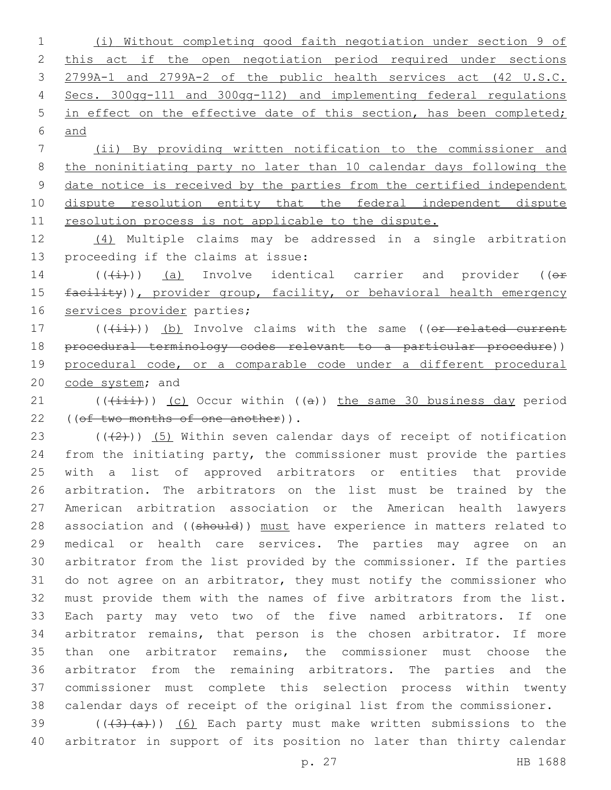(i) Without completing good faith negotiation under section 9 of 2 this act if the open negotiation period required under sections 2799A-1 and 2799A-2 of the public health services act (42 U.S.C. Secs. 300gg-111 and 300gg-112) and implementing federal regulations 5 in effect on the effective date of this section, has been completed; and

 (ii) By providing written notification to the commissioner and the noninitiating party no later than 10 calendar days following the date notice is received by the parties from the certified independent dispute resolution entity that the federal independent dispute resolution process is not applicable to the dispute.

 (4) Multiple claims may be addressed in a single arbitration 13 proceeding if the claims at issue:

14  $((\overline{t+})$ ) (a) Involve identical carrier and provider (( $\overline{t}$ ) 15 facility)), provider group, facility, or behavioral health emergency 16 services provider parties;

17 (((ii))) (b) Involve claims with the same ((or related current procedural terminology codes relevant to a particular procedure)) 19 procedural code, or a comparable code under a different procedural 20 code system; and

21 (((+iii))) (c) Occur within ((a)) the same 30 business day period 22 ((of two months of one another)).

 $((+2+))$   $(5)$  Within seven calendar days of receipt of notification from the initiating party, the commissioner must provide the parties with a list of approved arbitrators or entities that provide arbitration. The arbitrators on the list must be trained by the American arbitration association or the American health lawyers 28 association and ((should)) must have experience in matters related to medical or health care services. The parties may agree on an arbitrator from the list provided by the commissioner. If the parties do not agree on an arbitrator, they must notify the commissioner who must provide them with the names of five arbitrators from the list. Each party may veto two of the five named arbitrators. If one arbitrator remains, that person is the chosen arbitrator. If more than one arbitrator remains, the commissioner must choose the arbitrator from the remaining arbitrators. The parties and the commissioner must complete this selection process within twenty calendar days of receipt of the original list from the commissioner.

39  $((+3)+(a))$   $(6)$  Each party must make written submissions to the arbitrator in support of its position no later than thirty calendar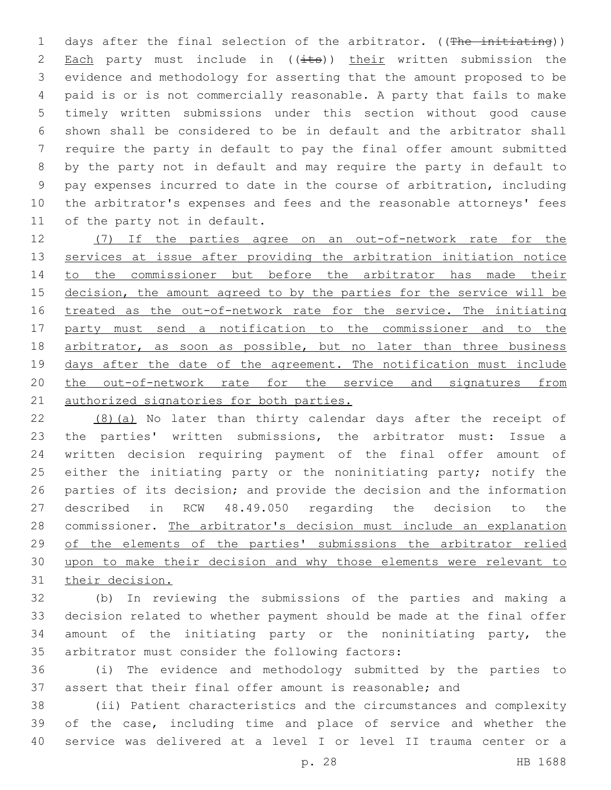1 days after the final selection of the arbitrator. ((The initiating)) 2 Each party must include in  $((i$ ts)) their written submission the evidence and methodology for asserting that the amount proposed to be paid is or is not commercially reasonable. A party that fails to make timely written submissions under this section without good cause shown shall be considered to be in default and the arbitrator shall require the party in default to pay the final offer amount submitted by the party not in default and may require the party in default to pay expenses incurred to date in the course of arbitration, including the arbitrator's expenses and fees and the reasonable attorneys' fees 11 of the party not in default.

 (7) If the parties agree on an out-of-network rate for the 13 services at issue after providing the arbitration initiation notice to the commissioner but before the arbitrator has made their 15 decision, the amount agreed to by the parties for the service will be treated as the out-of-network rate for the service. The initiating party must send a notification to the commissioner and to the 18 arbitrator, as soon as possible, but no later than three business 19 days after the date of the agreement. The notification must include the out-of-network rate for the service and signatures from 21 authorized signatories for both parties.

 (8)(a) No later than thirty calendar days after the receipt of the parties' written submissions, the arbitrator must: Issue a written decision requiring payment of the final offer amount of 25 either the initiating party or the noninitiating party; notify the parties of its decision; and provide the decision and the information described in RCW 48.49.050 regarding the decision to the commissioner. The arbitrator's decision must include an explanation of the elements of the parties' submissions the arbitrator relied upon to make their decision and why those elements were relevant to their decision.

 (b) In reviewing the submissions of the parties and making a decision related to whether payment should be made at the final offer amount of the initiating party or the noninitiating party, the 35 arbitrator must consider the following factors:

 (i) The evidence and methodology submitted by the parties to assert that their final offer amount is reasonable; and

 (ii) Patient characteristics and the circumstances and complexity of the case, including time and place of service and whether the service was delivered at a level I or level II trauma center or a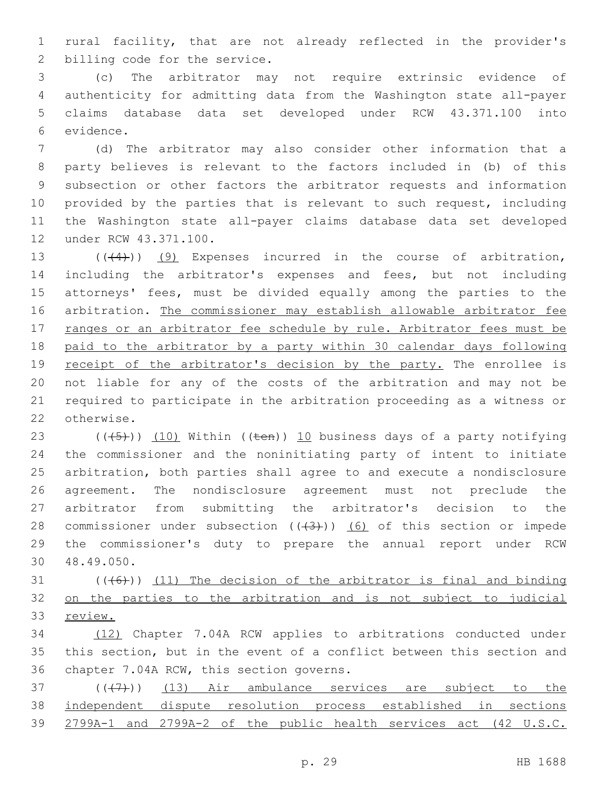rural facility, that are not already reflected in the provider's 2 billing code for the service.

 (c) The arbitrator may not require extrinsic evidence of authenticity for admitting data from the Washington state all-payer claims database data set developed under RCW 43.371.100 into 6 evidence.

 (d) The arbitrator may also consider other information that a party believes is relevant to the factors included in (b) of this subsection or other factors the arbitrator requests and information provided by the parties that is relevant to such request, including the Washington state all-payer claims database data set developed 12 under RCW 43.371.100.

13 (((4))) (9) Expenses incurred in the course of arbitration, including the arbitrator's expenses and fees, but not including attorneys' fees, must be divided equally among the parties to the arbitration. The commissioner may establish allowable arbitrator fee 17 ranges or an arbitrator fee schedule by rule. Arbitrator fees must be paid to the arbitrator by a party within 30 calendar days following 19 receipt of the arbitrator's decision by the party. The enrollee is not liable for any of the costs of the arbitration and may not be required to participate in the arbitration proceeding as a witness or 22 otherwise.

23 ( $(\overline{(-5+)}$ ) (10) Within (( $\overline{+}$ en)) 10 business days of a party notifying the commissioner and the noninitiating party of intent to initiate arbitration, both parties shall agree to and execute a nondisclosure agreement. The nondisclosure agreement must not preclude the arbitrator from submitting the arbitrator's decision to the 28 commissioner under subsection  $((+3))$   $(6)$  of this section or impede the commissioner's duty to prepare the annual report under RCW 48.49.050.30

 $(1)$  (((46))) (11) The decision of the arbitrator is final and binding on the parties to the arbitration and is not subject to judicial review.

 (12) Chapter 7.04A RCW applies to arbitrations conducted under this section, but in the event of a conflict between this section and 36 chapter 7.04A RCW, this section governs.

 $(1, 37)$  ( $(1, 7)$ ) (13) Air ambulance services are subject to the independent dispute resolution process established in sections 2799A-1 and 2799A-2 of the public health services act (42 U.S.C.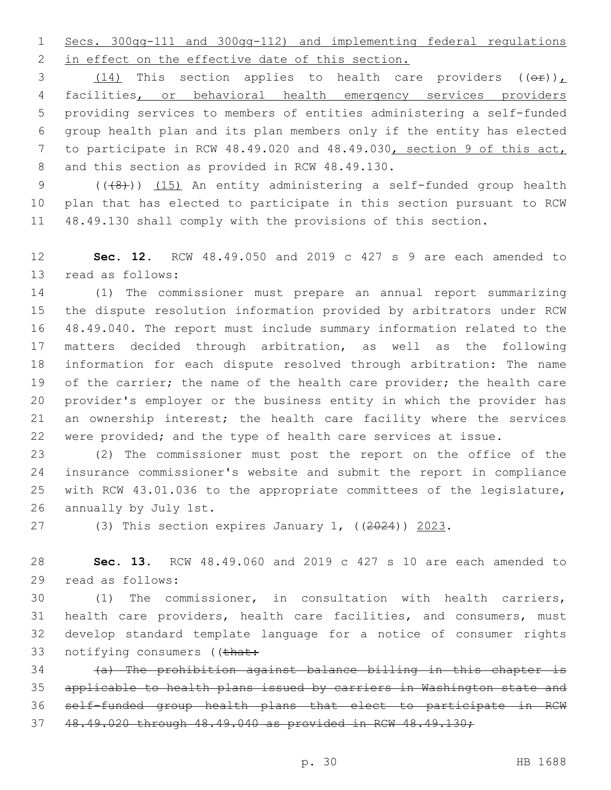Secs. 300gg-111 and 300gg-112) and implementing federal regulations 2 in effect on the effective date of this section.

3 (14) This section applies to health care providers  $((\theta \cdot \mathbf{r}))$  facilities, or behavioral health emergency services providers providing services to members of entities administering a self-funded group health plan and its plan members only if the entity has elected to participate in RCW 48.49.020 and 48.49.030, section 9 of this act, 8 and this section as provided in RCW 48.49.130.

9 (((8))) (15) An entity administering a self-funded group health plan that has elected to participate in this section pursuant to RCW 48.49.130 shall comply with the provisions of this section.

 **Sec. 12.** RCW 48.49.050 and 2019 c 427 s 9 are each amended to 13 read as follows:

 (1) The commissioner must prepare an annual report summarizing the dispute resolution information provided by arbitrators under RCW 48.49.040. The report must include summary information related to the matters decided through arbitration, as well as the following information for each dispute resolved through arbitration: The name 19 of the carrier; the name of the health care provider; the health care provider's employer or the business entity in which the provider has an ownership interest; the health care facility where the services were provided; and the type of health care services at issue.

 (2) The commissioner must post the report on the office of the insurance commissioner's website and submit the report in compliance with RCW 43.01.036 to the appropriate committees of the legislature, 26 annually by July 1st.

(3) This section expires January 1, ((2024)) 2023.

 **Sec. 13.** RCW 48.49.060 and 2019 c 427 s 10 are each amended to 29 read as follows:

 (1) The commissioner, in consultation with health carriers, health care providers, health care facilities, and consumers, must develop standard template language for a notice of consumer rights 33 notifying consumers ((that:

 (a) The prohibition against balance billing in this chapter is applicable to health plans issued by carriers in Washington state and self-funded group health plans that elect to participate in RCW 48.49.020 through 48.49.040 as provided in RCW 48.49.130;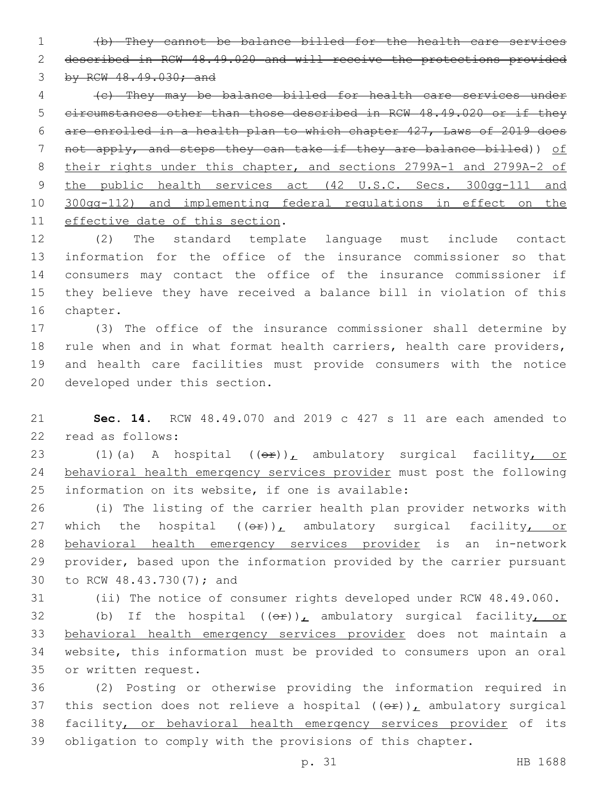(b) They cannot be balance billed for the health care services described in RCW 48.49.020 and will receive the protections provided by RCW 48.49.030; and

 (c) They may be balance billed for health care services under circumstances other than those described in RCW 48.49.020 or if they are enrolled in a health plan to which chapter 427, Laws of 2019 does not apply, and steps they can take if they are balance billed)) of their rights under this chapter, and sections 2799A-1 and 2799A-2 of 9 the public health services act (42 U.S.C. Secs. 300gg-111 and 300gg-112) and implementing federal regulations in effect on the 11 effective date of this section.

 (2) The standard template language must include contact information for the office of the insurance commissioner so that consumers may contact the office of the insurance commissioner if they believe they have received a balance bill in violation of this 16 chapter.

 (3) The office of the insurance commissioner shall determine by rule when and in what format health carriers, health care providers, and health care facilities must provide consumers with the notice 20 developed under this section.

 **Sec. 14.** RCW 48.49.070 and 2019 c 427 s 11 are each amended to 22 read as follows:

23 (1)(a) A hospital ((or)), ambulatory surgical facility, or behavioral health emergency services provider must post the following 25 information on its website, if one is available:

 (i) The listing of the carrier health plan provider networks with 27 which the hospital  $((\theta \hat{r}))_L$  ambulatory surgical facility, or behavioral health emergency services provider is an in-network provider, based upon the information provided by the carrier pursuant 30 to RCW 48.43.730(7); and

(ii) The notice of consumer rights developed under RCW 48.49.060.

32 (b) If the hospital  $((e^p)_L$  ambulatory surgical facility, or behavioral health emergency services provider does not maintain a website, this information must be provided to consumers upon an oral 35 or written request.

 (2) Posting or otherwise providing the information required in 37 this section does not relieve a hospital  $((\theta \hat{r}))_L$  ambulatory surgical 38 facility, or behavioral health emergency services provider of its obligation to comply with the provisions of this chapter.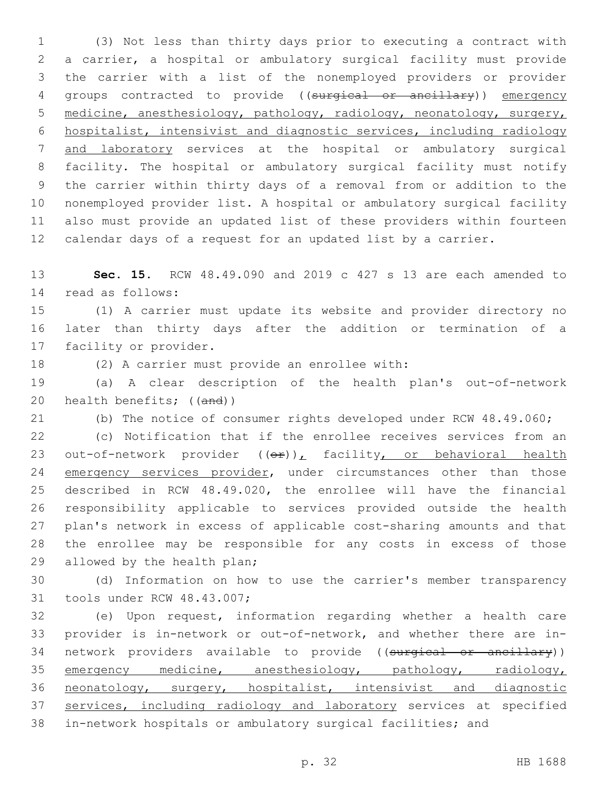(3) Not less than thirty days prior to executing a contract with a carrier, a hospital or ambulatory surgical facility must provide the carrier with a list of the nonemployed providers or provider groups contracted to provide ((surgical or ancillary)) emergency medicine, anesthesiology, pathology, radiology, neonatology, surgery, hospitalist, intensivist and diagnostic services, including radiology and laboratory services at the hospital or ambulatory surgical facility. The hospital or ambulatory surgical facility must notify the carrier within thirty days of a removal from or addition to the nonemployed provider list. A hospital or ambulatory surgical facility also must provide an updated list of these providers within fourteen calendar days of a request for an updated list by a carrier.

 **Sec. 15.** RCW 48.49.090 and 2019 c 427 s 13 are each amended to 14 read as follows:

 (1) A carrier must update its website and provider directory no later than thirty days after the addition or termination of a 17 facility or provider.

18 (2) A carrier must provide an enrollee with:

 (a) A clear description of the health plan's out-of-network 20 health benefits; ((and))

(b) The notice of consumer rights developed under RCW 48.49.060;

 (c) Notification that if the enrollee receives services from an 23 out-of-network provider  $((e^x))_t$  facility, or behavioral health 24 emergency services provider, under circumstances other than those described in RCW 48.49.020, the enrollee will have the financial responsibility applicable to services provided outside the health plan's network in excess of applicable cost-sharing amounts and that the enrollee may be responsible for any costs in excess of those 29 allowed by the health plan;

 (d) Information on how to use the carrier's member transparency 31 tools under RCW 48.43.007;

 (e) Upon request, information regarding whether a health care provider is in-network or out-of-network, and whether there are in-34 network providers available to provide ((surgical or ancillary)) 35 emergency medicine, anesthesiology, pathology, radiology, neonatology, surgery, hospitalist, intensivist and diagnostic 37 services, including radiology and laboratory services at specified in-network hospitals or ambulatory surgical facilities; and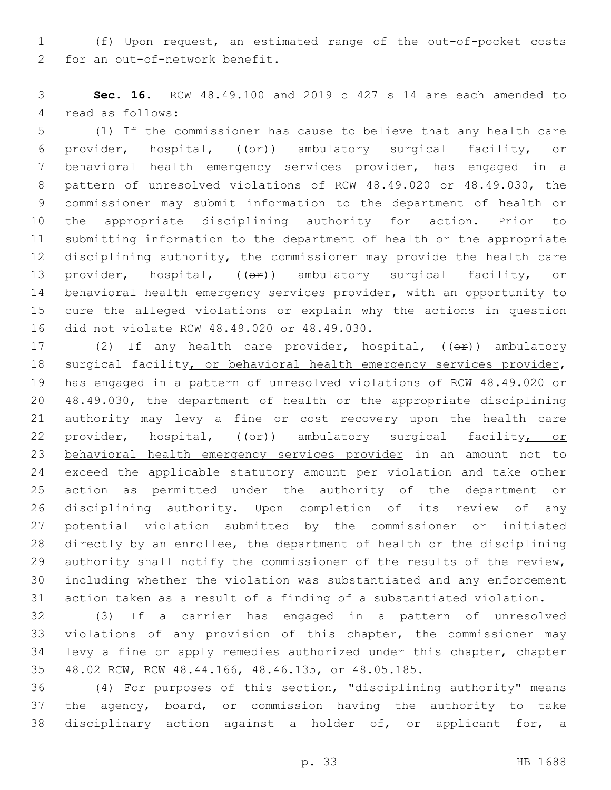(f) Upon request, an estimated range of the out-of-pocket costs 2 for an out-of-network benefit.

 **Sec. 16.** RCW 48.49.100 and 2019 c 427 s 14 are each amended to 4 read as follows:

 (1) If the commissioner has cause to believe that any health care 6 provider, hospital,  $((eF))$  ambulatory surgical facility, or behavioral health emergency services provider, has engaged in a pattern of unresolved violations of RCW 48.49.020 or 48.49.030, the commissioner may submit information to the department of health or the appropriate disciplining authority for action. Prior to submitting information to the department of health or the appropriate disciplining authority, the commissioner may provide the health care 13 provider, hospital, (( $\Theta$ )) ambulatory surgical facility, or 14 behavioral health emergency services provider, with an opportunity to cure the alleged violations or explain why the actions in question 16 did not violate RCW 48.49.020 or 48.49.030.

17 (2) If any health care provider, hospital, ((or)) ambulatory 18 surgical facility, or behavioral health emergency services provider, has engaged in a pattern of unresolved violations of RCW 48.49.020 or 48.49.030, the department of health or the appropriate disciplining authority may levy a fine or cost recovery upon the health care 22 provider, hospital, (( $\Theta$ )) ambulatory surgical facility, or behavioral health emergency services provider in an amount not to exceed the applicable statutory amount per violation and take other action as permitted under the authority of the department or disciplining authority. Upon completion of its review of any potential violation submitted by the commissioner or initiated directly by an enrollee, the department of health or the disciplining authority shall notify the commissioner of the results of the review, including whether the violation was substantiated and any enforcement action taken as a result of a finding of a substantiated violation.

 (3) If a carrier has engaged in a pattern of unresolved violations of any provision of this chapter, the commissioner may 34 levy a fine or apply remedies authorized under this chapter, chapter 48.02 RCW, RCW 48.44.166, 48.46.135, or 48.05.185.

 (4) For purposes of this section, "disciplining authority" means the agency, board, or commission having the authority to take disciplinary action against a holder of, or applicant for, a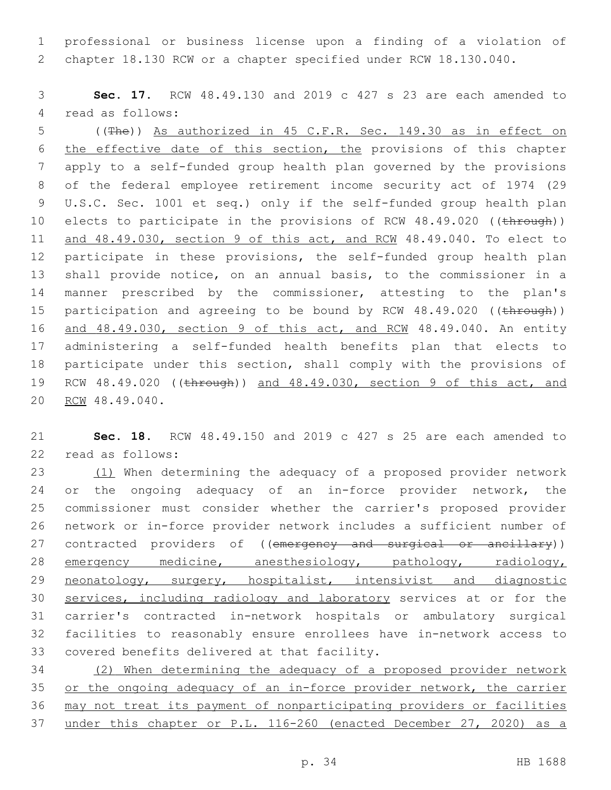professional or business license upon a finding of a violation of chapter 18.130 RCW or a chapter specified under RCW 18.130.040.

 **Sec. 17.** RCW 48.49.130 and 2019 c 427 s 23 are each amended to 4 read as follows:

 ((The)) As authorized in 45 C.F.R. Sec. 149.30 as in effect on the effective date of this section, the provisions of this chapter apply to a self-funded group health plan governed by the provisions of the federal employee retirement income security act of 1974 (29 U.S.C. Sec. 1001 et seq.) only if the self-funded group health plan 10 elects to participate in the provisions of RCW 48.49.020 ((through)) and 48.49.030, section 9 of this act, and RCW 48.49.040. To elect to participate in these provisions, the self-funded group health plan shall provide notice, on an annual basis, to the commissioner in a manner prescribed by the commissioner, attesting to the plan's 15 participation and agreeing to be bound by RCW 48.49.020 ((through)) 16 and 48.49.030, section 9 of this act, and RCM 48.49.040. An entity administering a self-funded health benefits plan that elects to participate under this section, shall comply with the provisions of RCW 48.49.020 ((through)) and 48.49.030, section 9 of this act, and 20 RCW 48.49.040.

 **Sec. 18.** RCW 48.49.150 and 2019 c 427 s 25 are each amended to 22 read as follows:

23 (1) When determining the adequacy of a proposed provider network or the ongoing adequacy of an in-force provider network, the commissioner must consider whether the carrier's proposed provider network or in-force provider network includes a sufficient number of 27 contracted providers of ((emergency and surgical or ancillary)) 28 emergency medicine, anesthesiology, pathology, radiology, 29 neonatology, surgery, hospitalist, intensivist and diagnostic 30 services, including radiology and laboratory services at or for the carrier's contracted in-network hospitals or ambulatory surgical facilities to reasonably ensure enrollees have in-network access to 33 covered benefits delivered at that facility.

 (2) When determining the adequacy of a proposed provider network or the ongoing adequacy of an in-force provider network, the carrier may not treat its payment of nonparticipating providers or facilities under this chapter or P.L. 116-260 (enacted December 27, 2020) as a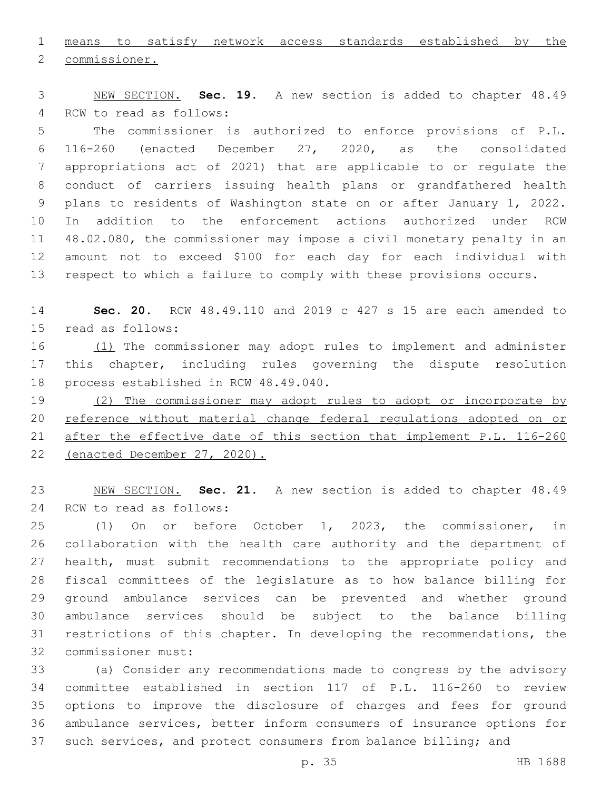means to satisfy network access standards established by the

2 commissioner.

 NEW SECTION. **Sec. 19.** A new section is added to chapter 48.49 4 RCW to read as follows:

 The commissioner is authorized to enforce provisions of P.L. 116-260 (enacted December 27, 2020, as the consolidated appropriations act of 2021) that are applicable to or regulate the conduct of carriers issuing health plans or grandfathered health plans to residents of Washington state on or after January 1, 2022. In addition to the enforcement actions authorized under RCW 48.02.080, the commissioner may impose a civil monetary penalty in an amount not to exceed \$100 for each day for each individual with respect to which a failure to comply with these provisions occurs.

 **Sec. 20.** RCW 48.49.110 and 2019 c 427 s 15 are each amended to 15 read as follows:

16 (1) The commissioner may adopt rules to implement and administer this chapter, including rules governing the dispute resolution 18 process established in RCW 48.49.040.

19 (2) The commissioner may adopt rules to adopt or incorporate by 20 reference without material change federal requlations adopted on or after the effective date of this section that implement P.L. 116-260 (enacted December 27, 2020).

 NEW SECTION. **Sec. 21.** A new section is added to chapter 48.49 24 RCW to read as follows:

 (1) On or before October 1, 2023, the commissioner, in collaboration with the health care authority and the department of health, must submit recommendations to the appropriate policy and fiscal committees of the legislature as to how balance billing for ground ambulance services can be prevented and whether ground ambulance services should be subject to the balance billing restrictions of this chapter. In developing the recommendations, the 32 commissioner must:

 (a) Consider any recommendations made to congress by the advisory committee established in section 117 of P.L. 116-260 to review options to improve the disclosure of charges and fees for ground ambulance services, better inform consumers of insurance options for such services, and protect consumers from balance billing; and